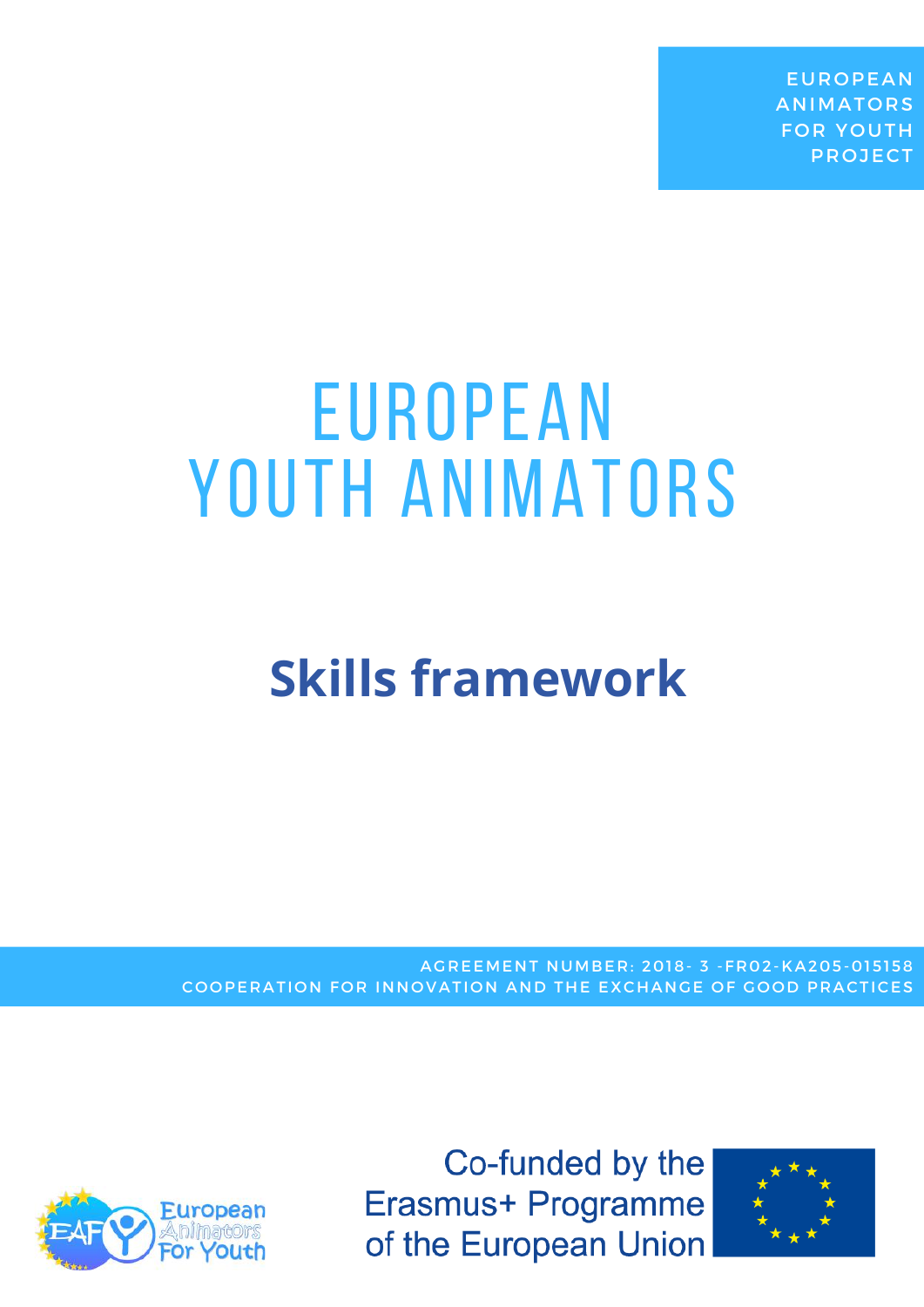**EUROPEAN ANIMATORS FOR YOUTH PROJECT** 

# EUROPEAN YOUTH ANIMATORS

### **Skills framework**

AGREEMENT NUMBER: 2018- 3 -FR02-KA205-015158 COOPERATION FOR INNOVATION AND THE EXCHANGE OF GOOD PRACTICES



Co-funded by the Erasmus+ Programme of the European Union

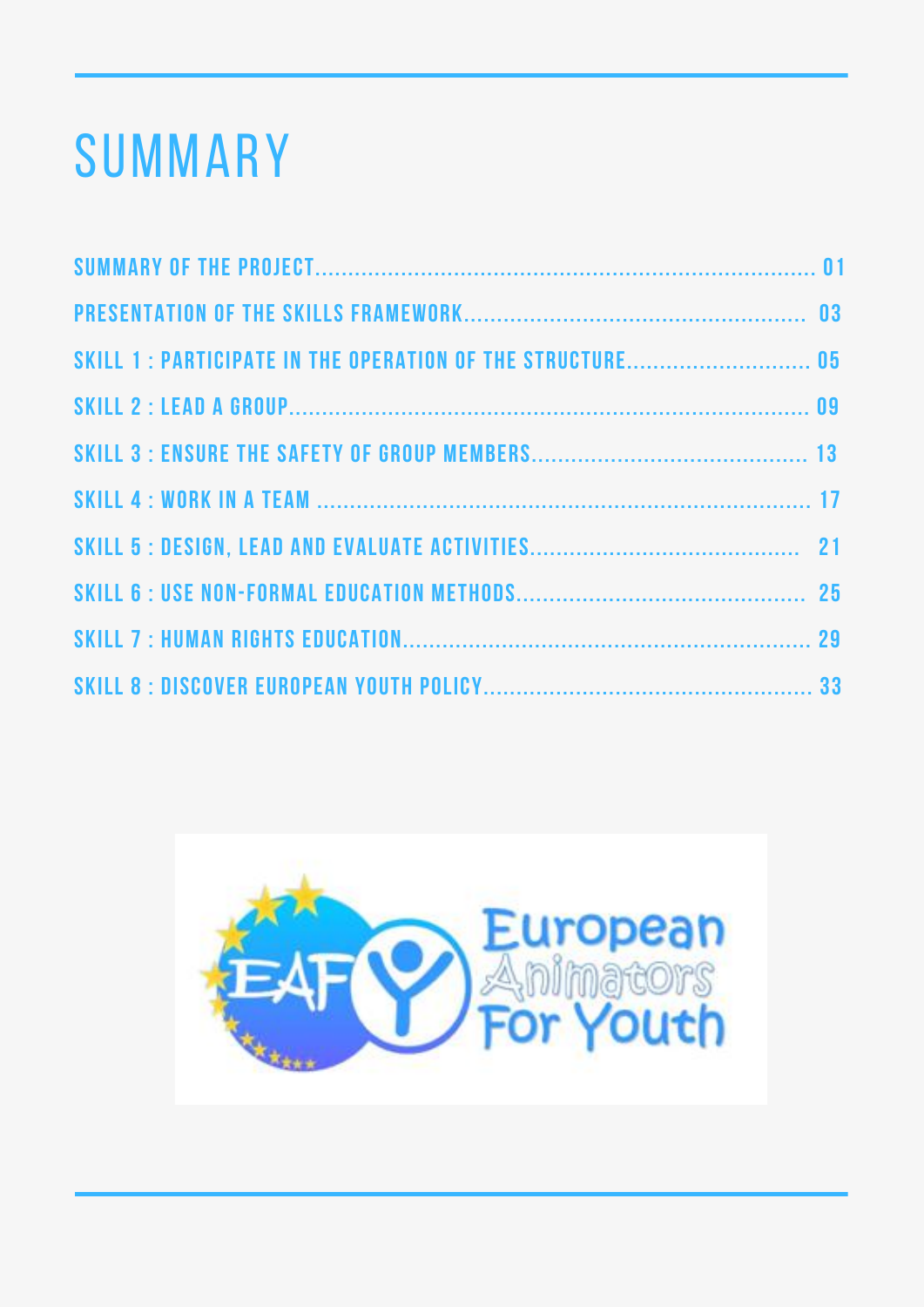## summary

| SKILL 1 : PARTICIPATE IN THE OPERATION OF THE STRUCTURE 05 |  |
|------------------------------------------------------------|--|
|                                                            |  |
|                                                            |  |
|                                                            |  |
|                                                            |  |
|                                                            |  |
|                                                            |  |
|                                                            |  |

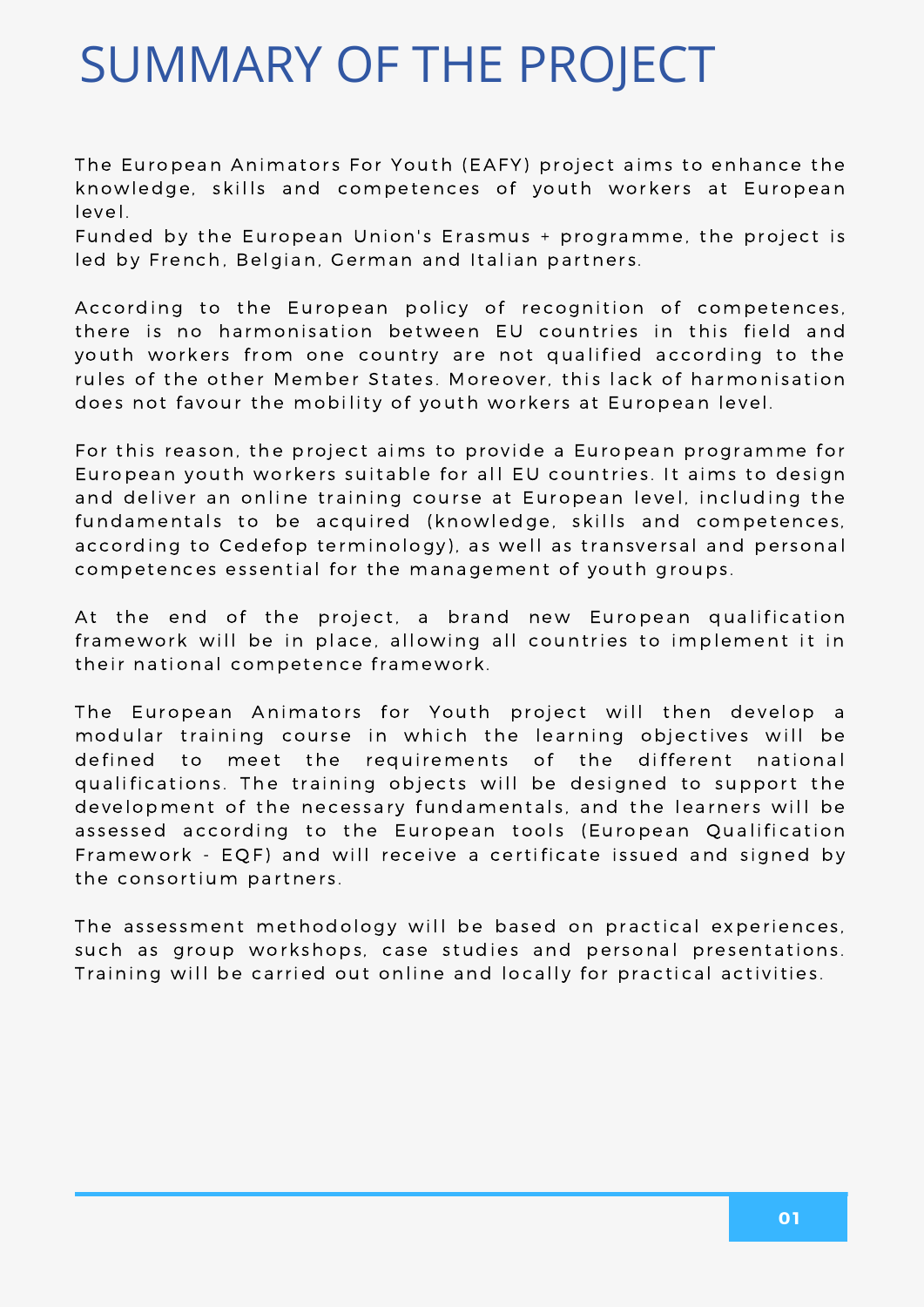### SUMMARY OF THE PROJECT

The European Animators For Youth (EAFY) project aims to enhance the knowledge, skills and competences of youth workers at European level.

Funded by the European Union's Erasmus + programme, the project is led by French, Belgian, German and Italian partners.

According to the European policy of recognition of competences, there is no harmonisation between EU countries in this field and youth workers from one country are not qualified according to the rules of the other Member States. Moreover, this lack of harmonisation does not favour the mobility of youth workers at European level.

For this reason, the project aims to provide a European programme for European youth workers suitable for all EU countries. It aims to design and deliver an online training course at European level, including the fundamentals to be acquired (knowledge, skills and competences, according to Cedefop terminology), as well as transversal and personal competences essential for the management of youth groups.

At the end of the project, a brand new European qualification framework will be in place, allowing all countries to implement it in their national competence framework.

The European Animators for Youth project will then develop a modular training course in which the learning objectives will be defined to meet the requirements of the different national qualifications. The training objects will be designed to support the development of the necessary fundamentals, and the learners will be assessed according to the European tools (European Qualification Framework - EQF) and will receive a certificate issued and signed by the consortium partners.

The assessment methodology will be based on practical experiences, such as group workshops, case studies and personal presentations. Training will be carried out online and locally for practical activities.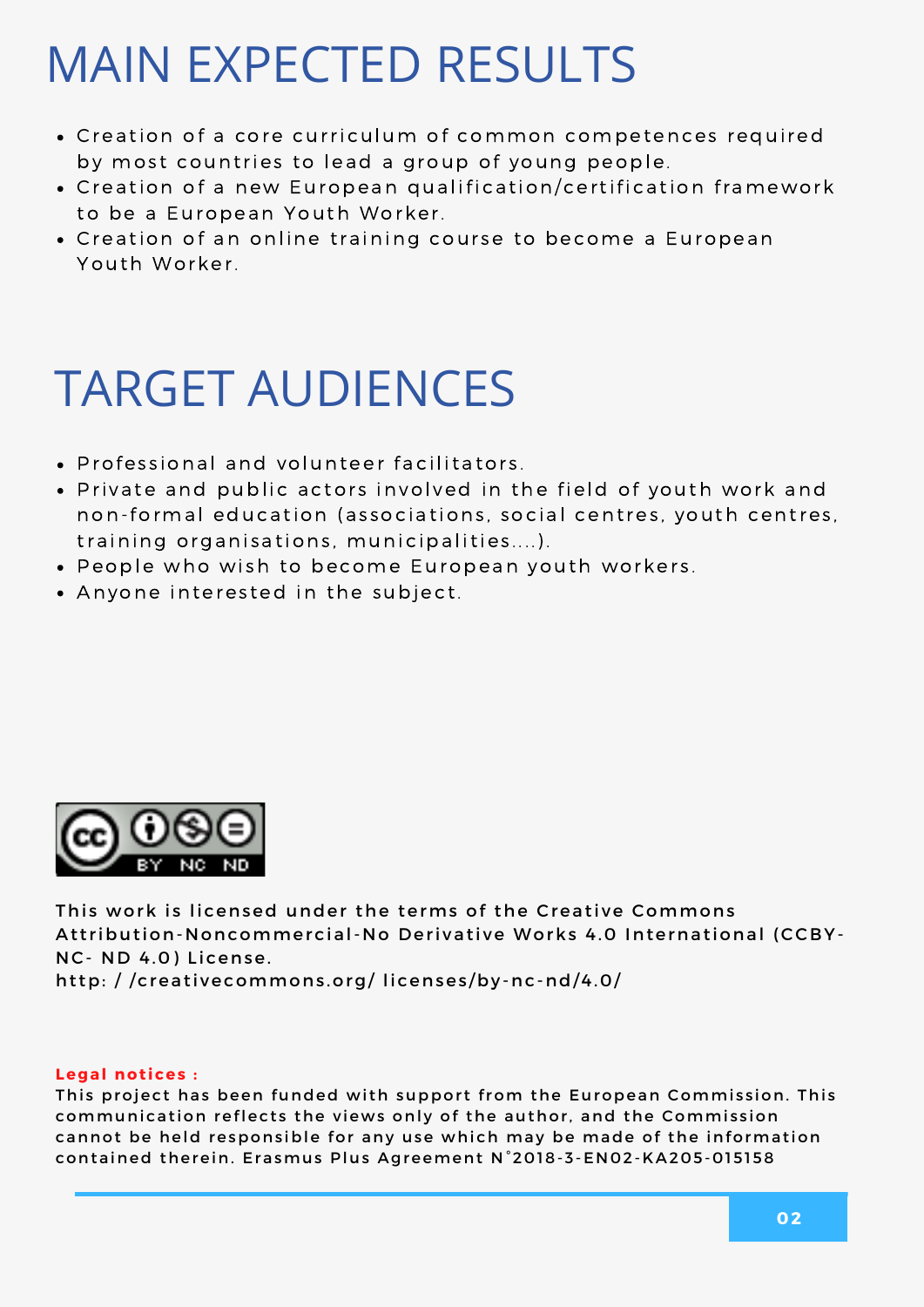### MAIN EXPECTED RESULTS

- C reation of a core curriculum of common competences required by most countries to lead a group of young people.
- Creation of a new European qualification/certification framework to be a European Youth Worker.
- Creation of an online training course to become a European Youth Worker.

### TARGET AUDIENCES

- Professional and volunteer facilitators.
- Private and public actors involved in the field of youth work and non-formal education (associations, social centres, youth centres, training organisations, municipalities....).
- People who wish to become European youth workers.
- Anyone interested in the subject.



This work is licensed under the terms of the Creative Commons Attribution-Noncommercial-No Derivative Works 4.0 International (CCBY-NC- ND 4.0) License.

http: //creativecommons.org/licenses/by-nc-nd/4.0/

#### **Legal notices:**

This project has been funded with support from the European Commission. This communication reflects the views only of the author, and the Commission cannot be held responsible for any use which may be made of the information contained therein. Erasmus Plus Agreement N°2018-3-EN02-KA205-015158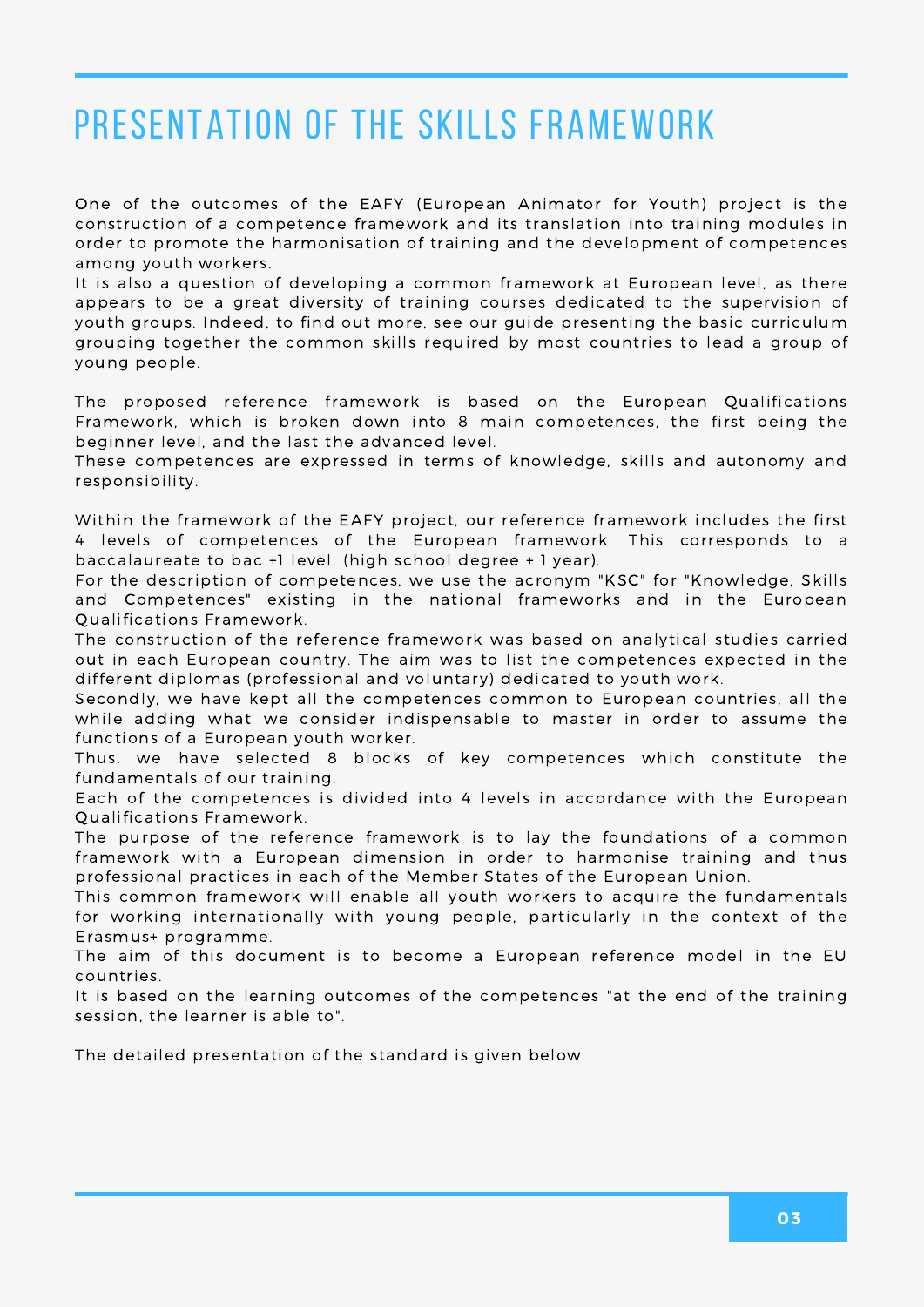### PRESENTATION OF THE SKILLS FRAMEWORK

One of the outcomes of the EAFY (European Animator for Youth) project is the construction of a competence framework and its translation into training modules in order to promote the harmonisation of training and the development of competences among youth workers.

It is also a question of developing a common framework at European level, as there appears to be a great diversity of training courses dedicated to the supervision of youth groups. Indeed, to find out more, see our guide presenting the basic curriculum grouping together the common skills required by most countries to lead a group of young people.

The proposed reference framework is based on the European Qualifications Framework, which is broken down into 8 main competences, the first being the beginner level, and the last the advanced level.

These competences are expressed in terms of knowledge, skills and autonomy and responsibility.

Within the framework of the EAFY project, our reference framework includes the first 4 levels of competences of the European framework. This corresponds to a baccalaureate to bac +1 level. (high school degree + 1 year).

For the description of competences, we use the acronym "KSC" for "Knowledge, Skills and Competences" existing in the national frameworks and in the European Qualifications Framework.

The construction of the reference framework was based on analytical studies carried out in each European country. The aim was to list the competences expected in the different diplomas (professional and voluntary) dedicated to youth work.

Secondly, we have kept all the competences common to European countries, all the while adding what we consider indispensable to master in order to assume the functions of a European youth worker.

Thus, we have selected 8 blocks of key competences which constitute the fundamentals of our training.

Each of the competences is divided into 4 levels in accordance with the European Qualifications Framework.

The purpose of the reference framework is to lay the foundations of a common framework with a European dimension in order to harmonise training and thus professional practices in each of the Member States of the European Union.

This common framework will enable all youth workers to acquire the fundamentals for working internationally with young people, particularly in the context of the Erasmus+ programme.

The aim of this document is to become a European reference model in the EU countries.

It is based on the learning outcomes of the competences "at the end of the training session, the learner is able to".

The detailed presentation of the standard is given below.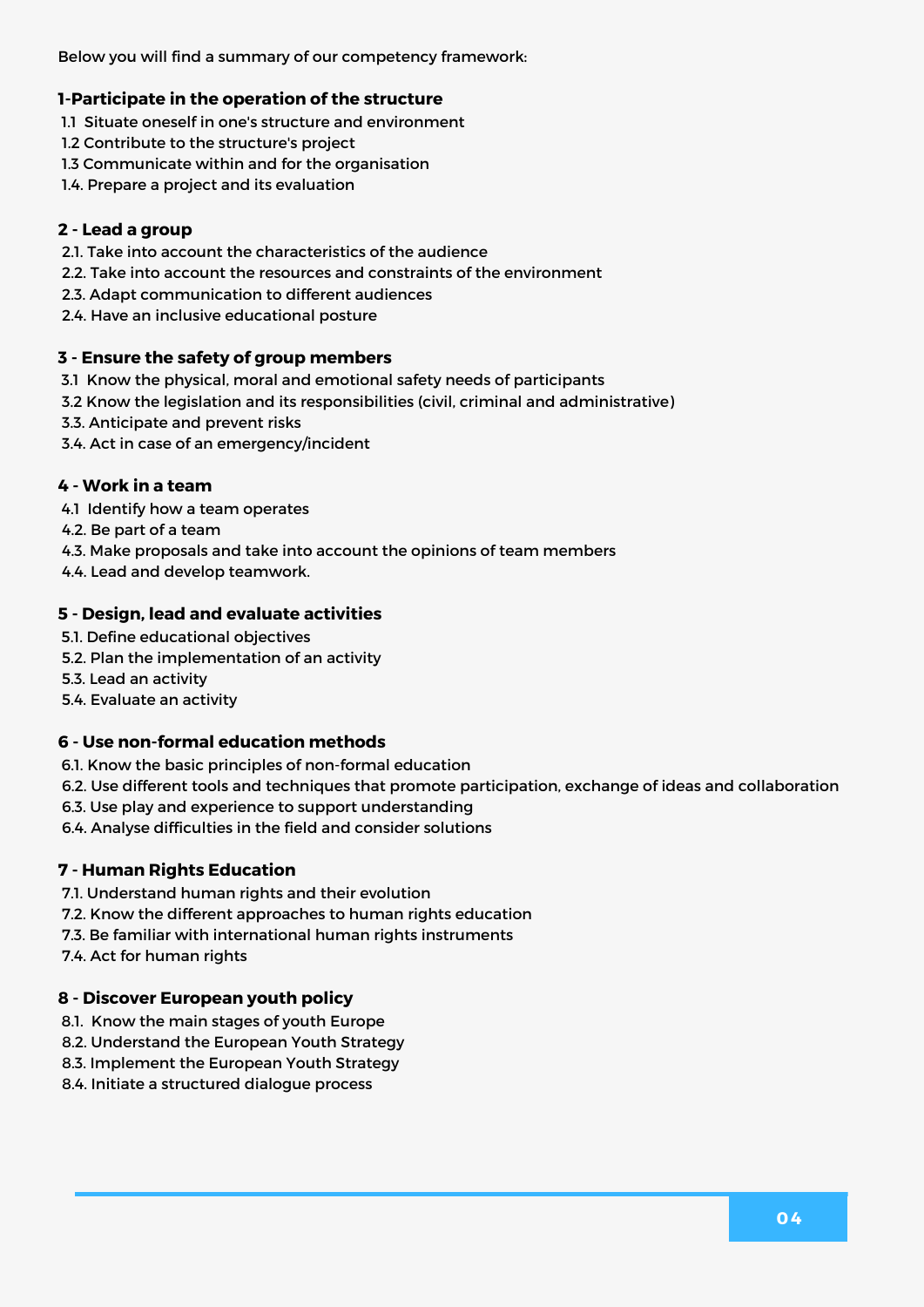Below you will find a summary of our competency framework:

#### **1-Participate in the operation of the structure**

- 1.1 Situate oneself in one's structure and environment
- 1.2 Contribute to the structure's project
- 1.3 Communicate within and for the organisation
- 1.4. Prepare a project and its evaluation

#### **2 - Lead a group**

- 2.1. Take into account the characteristics of the audience
- 2.2. Take into account the resources and constraints of the environment
- 2.3. Adapt communication to different audiences
- 2.4. Have an inclusive educational posture

#### **3 - Ensure the safety of group members**

- 3.1 Know the physical, moral and emotional safety needs of participants
- 3.2 Know the legislation and its responsibilities (civil, criminal and administrative)
- 3.3. Anticipate and prevent risks
- 3.4. Act in case of an emergency/incident

#### **4 - Work in a team**

- 4.1 Identify how a team operates
- 4.2. Be part of a team
- 4.3. Make proposals and take into account the opinions of team members
- 4.4. Lead and develop teamwork.

#### **5 - Design, lead and evaluate activities**

- 5.1. Define educational objectives
- 5.2. Plan the implementation of an activity
- 5.3. Lead an activity
- 5.4. Evaluate an activity

#### **6 - Use non-formal education methods**

- 6.1. Know the basic principles of non-formal education
- 6.2. Use different tools and techniques that promote participation, exchange of ideas and collaboration
- 6.3. Use play and experience to support understanding
- 6.4. Analyse difficulties in the field and consider solutions

#### **7 - Human Rights Education**

- 7.1. Understand human rights and their evolution
- 7.2. Know the different approaches to human rights education
- 7.3. Be familiar with international human rights instruments

7.4. Act for human rights

#### **8 - Discover European youth policy**

- 8.1. Know the main stages of youth Europe
- 8.2. Understand the European Youth Strategy
- 8.3. Implement the European Youth Strategy
- 8.4. Initiate a structured dialogue process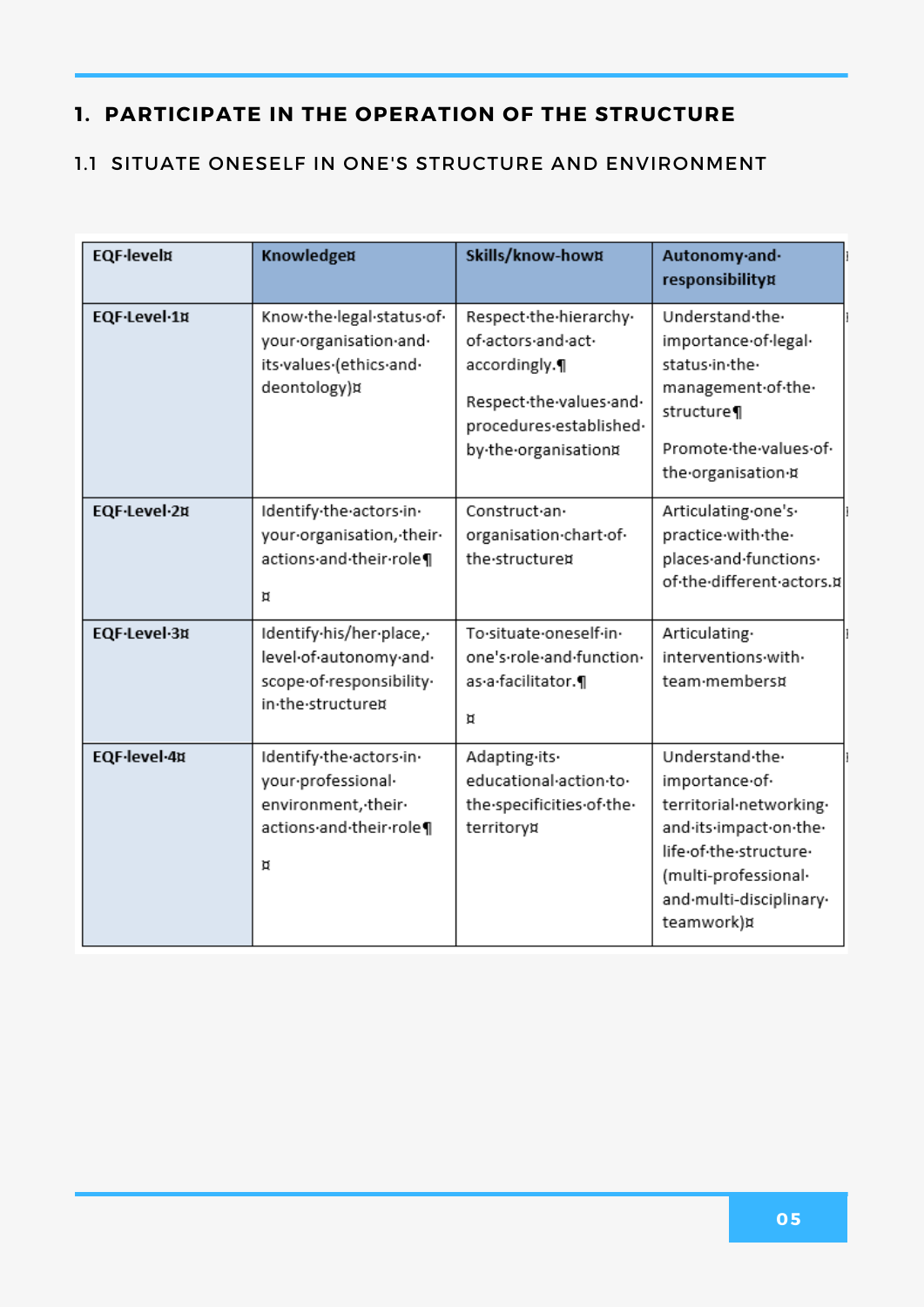#### 1.1 SITUATE ONESELF IN ONE'S STRUCTURE AND ENVIRONMENT

| <b>EQF-level¤</b> | Knowledge¤                                                                                          | Skills/know-how¤                                                                                                                            | Autonomy-and-<br>responsibility¤                                                                                                                                                  |
|-------------------|-----------------------------------------------------------------------------------------------------|---------------------------------------------------------------------------------------------------------------------------------------------|-----------------------------------------------------------------------------------------------------------------------------------------------------------------------------------|
| EQF-Level-1¤      | Know-the-legal-status-of-<br>your-organisation-and-<br>its-values-(ethics-and-<br>deontology)¤      | Respect-the-hierarchy-<br>of-actors-and-act-<br>accordingly.¶<br>Respect-the-values-and-<br>procedures-established-<br>by-the-organisation¤ | Understand-the-<br>importance-of-legal-<br>status·in·the·<br>management.of.the.<br>structure¶<br>Promote-the-values-of-<br>the organisation ¤                                     |
| EQF-Level-2¤      | Identify-the-actors-in-<br>your-organisation, -their-<br>actions and their role¶<br>Д               | Construct.an.<br>organisation-chart-of-<br>the structured                                                                                   | Articulating.one's.<br>practice with the<br>places and functions.<br>of the different actors.¤                                                                                    |
| EQF-Level-3¤      | Identify-his/her-place,-<br>level-of-autonomy-and-<br>scope-of-responsibility-<br>in-the-structure¤ | To.situate.oneself.in.<br>one's-role-and-function-<br>as a facilitator.<br>Й                                                                | Articulating·<br>interventions-with-<br>team-members¤                                                                                                                             |
| EQF-level-4¤      | Identify-the-actors-in-<br>your-professional-<br>environment, their<br>actions and their role¶<br>Й | Adapting-its-<br>educational action to<br>the specificities of the<br>territory¤                                                            | Understand-the-<br>importance-of-<br>territorial-networking-<br>and-its-impact-on-the-<br>life-of-the-structure-<br>(multi-professional-<br>and·multi-disciplinary·<br>teamwork)¤ |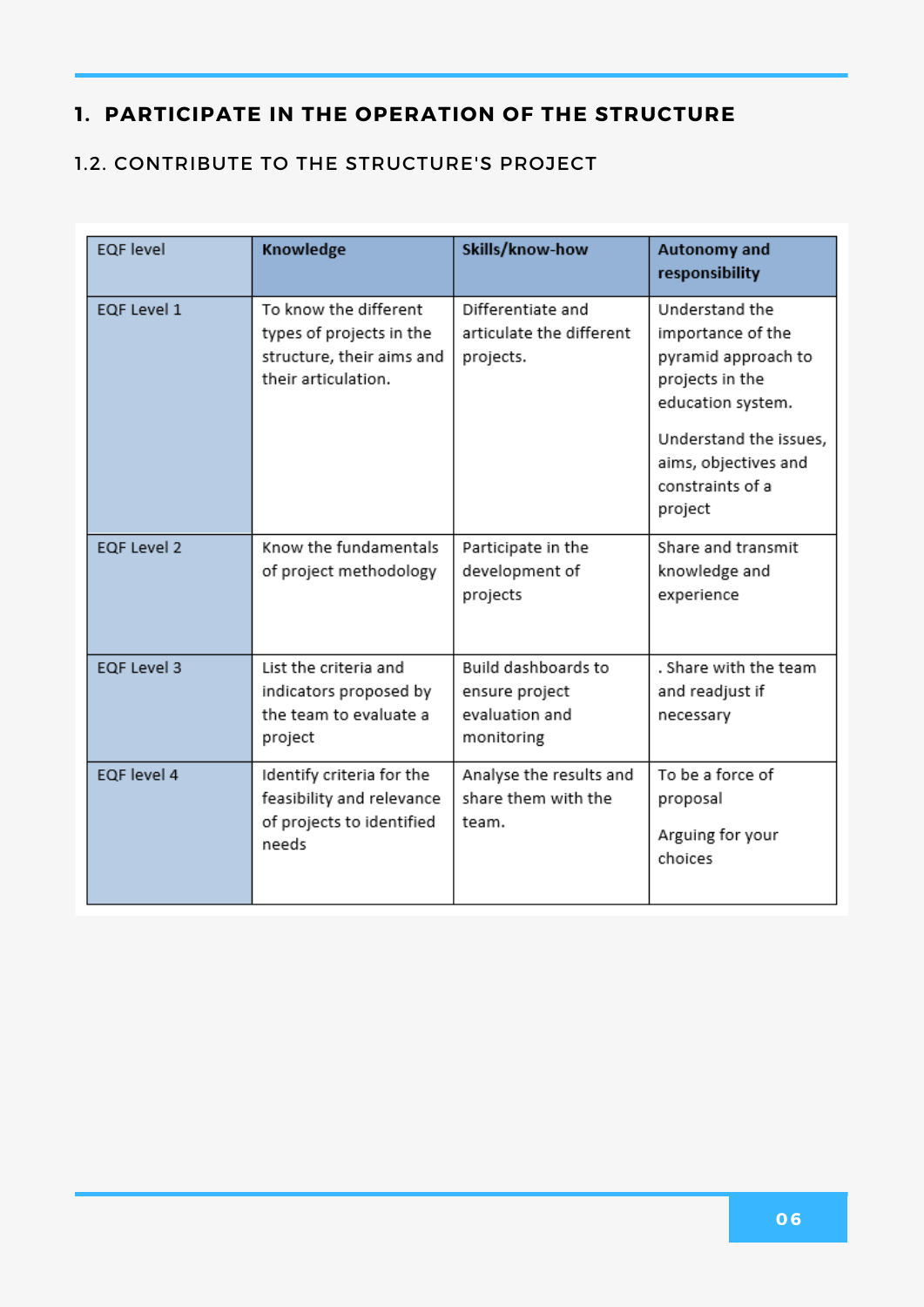#### 1.2. CONTRIBUTE TO THE STRUCTURE'S PROJECT

| <b>EQF</b> level   | Knowledge                                                                                             | Skills/know-how                                                       | Autonomy and<br>responsibility                                                                                                                                                      |
|--------------------|-------------------------------------------------------------------------------------------------------|-----------------------------------------------------------------------|-------------------------------------------------------------------------------------------------------------------------------------------------------------------------------------|
| <b>EQF Level 1</b> | To know the different<br>types of projects in the<br>structure, their aims and<br>their articulation. | Differentiate and<br>articulate the different<br>projects.            | Understand the<br>importance of the<br>pyramid approach to<br>projects in the<br>education system.<br>Understand the issues,<br>aims, objectives and<br>constraints of a<br>project |
| EQF Level 2        | Know the fundamentals<br>of project methodology                                                       | Participate in the<br>development of<br>projects                      | Share and transmit<br>knowledge and<br>experience                                                                                                                                   |
| <b>EQF Level 3</b> | List the criteria and<br>indicators proposed by<br>the team to evaluate a<br>project                  | Build dashboards to<br>ensure project<br>evaluation and<br>monitoring | . Share with the team<br>and readjust if<br>necessary                                                                                                                               |
| EQF level 4        | Identify criteria for the<br>feasibility and relevance<br>of projects to identified<br>needs          | Analyse the results and<br>share them with the<br>team.               | To be a force of<br>proposal<br>Arguing for your<br>choices                                                                                                                         |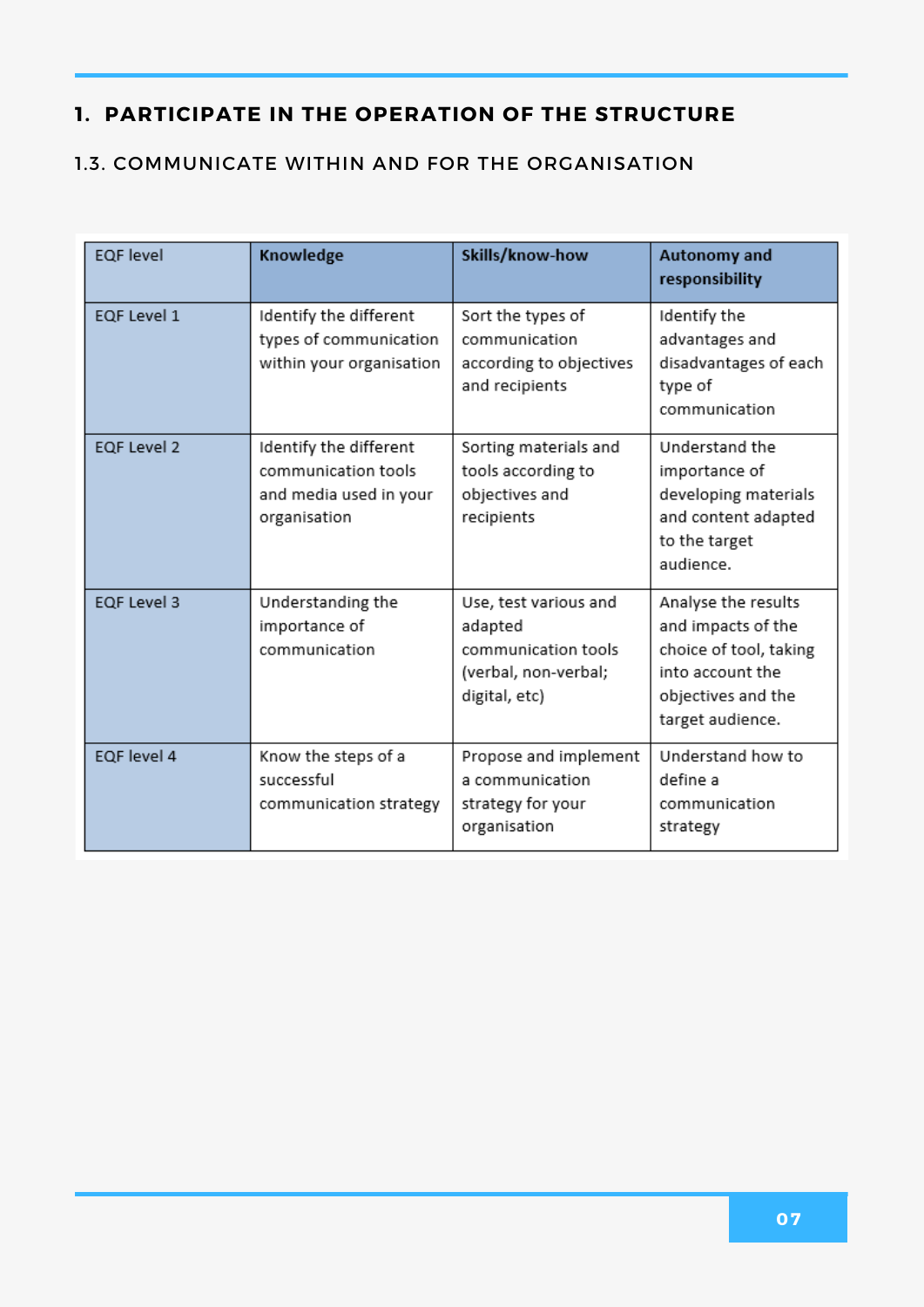#### 1.3. COMMUNICATE WITHIN AND FOR THE ORGANISATION

| <b>EQF</b> level   | Knowledge                                                                               | Skills/know-how                                                                                  | Autonomy and<br>responsibility                                                                                                    |
|--------------------|-----------------------------------------------------------------------------------------|--------------------------------------------------------------------------------------------------|-----------------------------------------------------------------------------------------------------------------------------------|
| EQF Level 1        | Identify the different<br>types of communication<br>within your organisation            | Sort the types of<br>communication<br>according to objectives<br>and recipients                  | Identify the<br>advantages and<br>disadvantages of each<br>type of<br>communication                                               |
| <b>EQF Level 2</b> | Identify the different<br>communication tools<br>and media used in your<br>organisation | Sorting materials and<br>tools according to<br>objectives and<br>recipients                      | Understand the<br>importance of<br>developing materials<br>and content adapted<br>to the target<br>audience.                      |
| EQF Level 3        | Understanding the<br>importance of<br>communication                                     | Use, test various and<br>adapted<br>communication tools<br>(verbal, non-verbal;<br>digital, etc) | Analyse the results<br>and impacts of the<br>choice of tool, taking<br>into account the<br>objectives and the<br>target audience. |
| EQF level 4        | Know the steps of a<br>successful<br>communication strategy                             | Propose and implement<br>a communication<br>strategy for your<br>organisation                    | Understand how to<br>define a<br>communication<br>strategy                                                                        |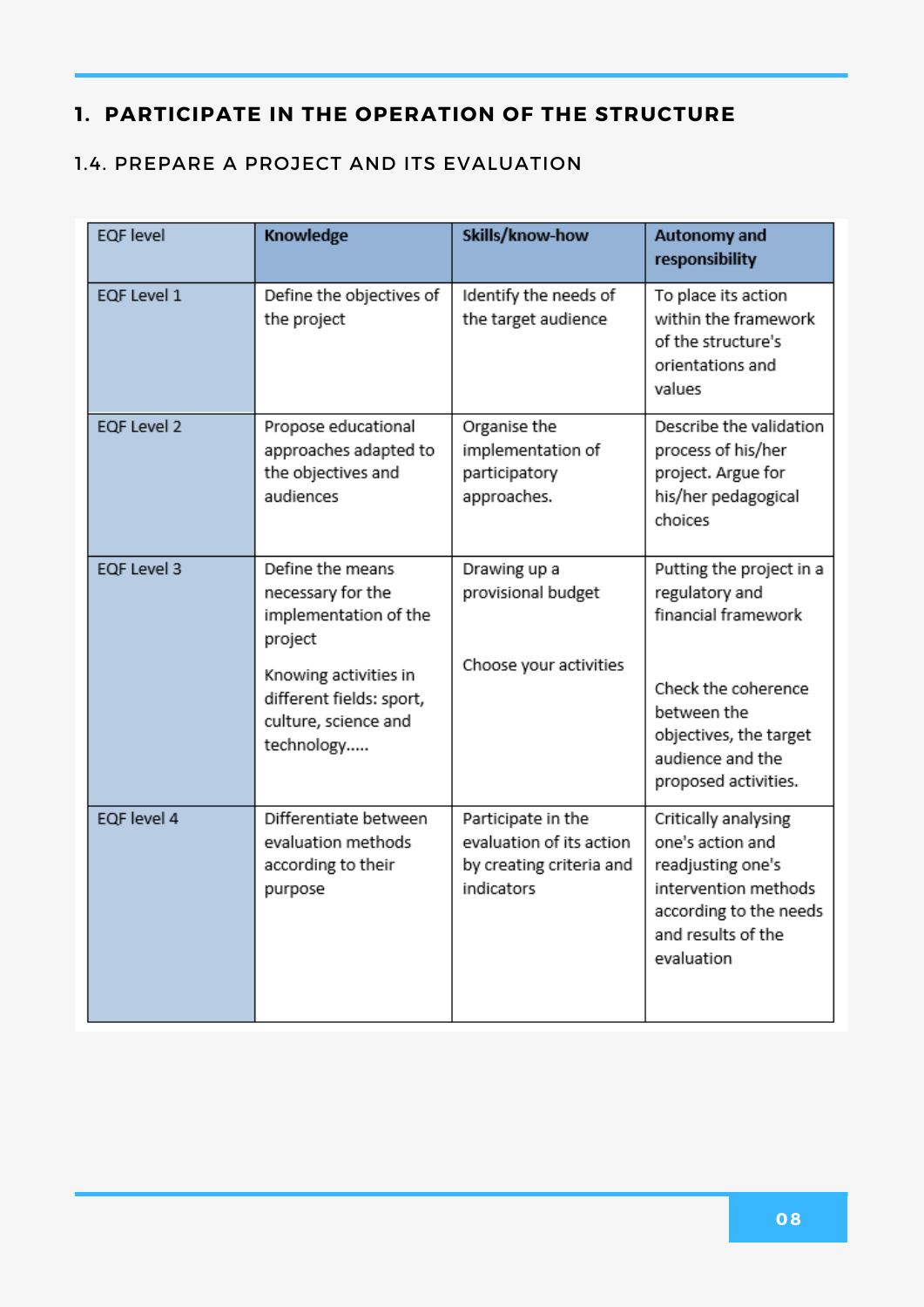#### 1.4. PREPARE A PROJECT AND ITS EVALUATION

| <b>EQF</b> level   | Knowledge                                                                                                                                                            | Skills/know-how                                                                          | Autonomy and<br>responsibility                                                                                                                                                |
|--------------------|----------------------------------------------------------------------------------------------------------------------------------------------------------------------|------------------------------------------------------------------------------------------|-------------------------------------------------------------------------------------------------------------------------------------------------------------------------------|
| EQF Level 1        | Define the objectives of<br>the project                                                                                                                              | Identify the needs of<br>the target audience                                             | To place its action<br>within the framework<br>of the structure's<br>orientations and<br>values                                                                               |
| <b>EQF Level 2</b> | Propose educational<br>approaches adapted to<br>the objectives and<br>audiences                                                                                      | Organise the<br>implementation of<br>participatory<br>approaches.                        | Describe the validation<br>process of his/her<br>project. Argue for<br>his/her pedagogical<br>choices                                                                         |
| <b>EQF Level 3</b> | Define the means<br>necessary for the<br>implementation of the<br>project<br>Knowing activities in<br>different fields: sport,<br>culture, science and<br>technology | Drawing up a<br>provisional budget<br>Choose your activities                             | Putting the project in a<br>regulatory and<br>financial framework<br>Check the coherence<br>between the<br>objectives, the target<br>audience and the<br>proposed activities. |
| EQF level 4        | Differentiate between<br>evaluation methods<br>according to their<br>purpose                                                                                         | Participate in the<br>evaluation of its action<br>by creating criteria and<br>indicators | Critically analysing<br>one's action and<br>readjusting one's<br>intervention methods<br>according to the needs<br>and results of the<br>evaluation                           |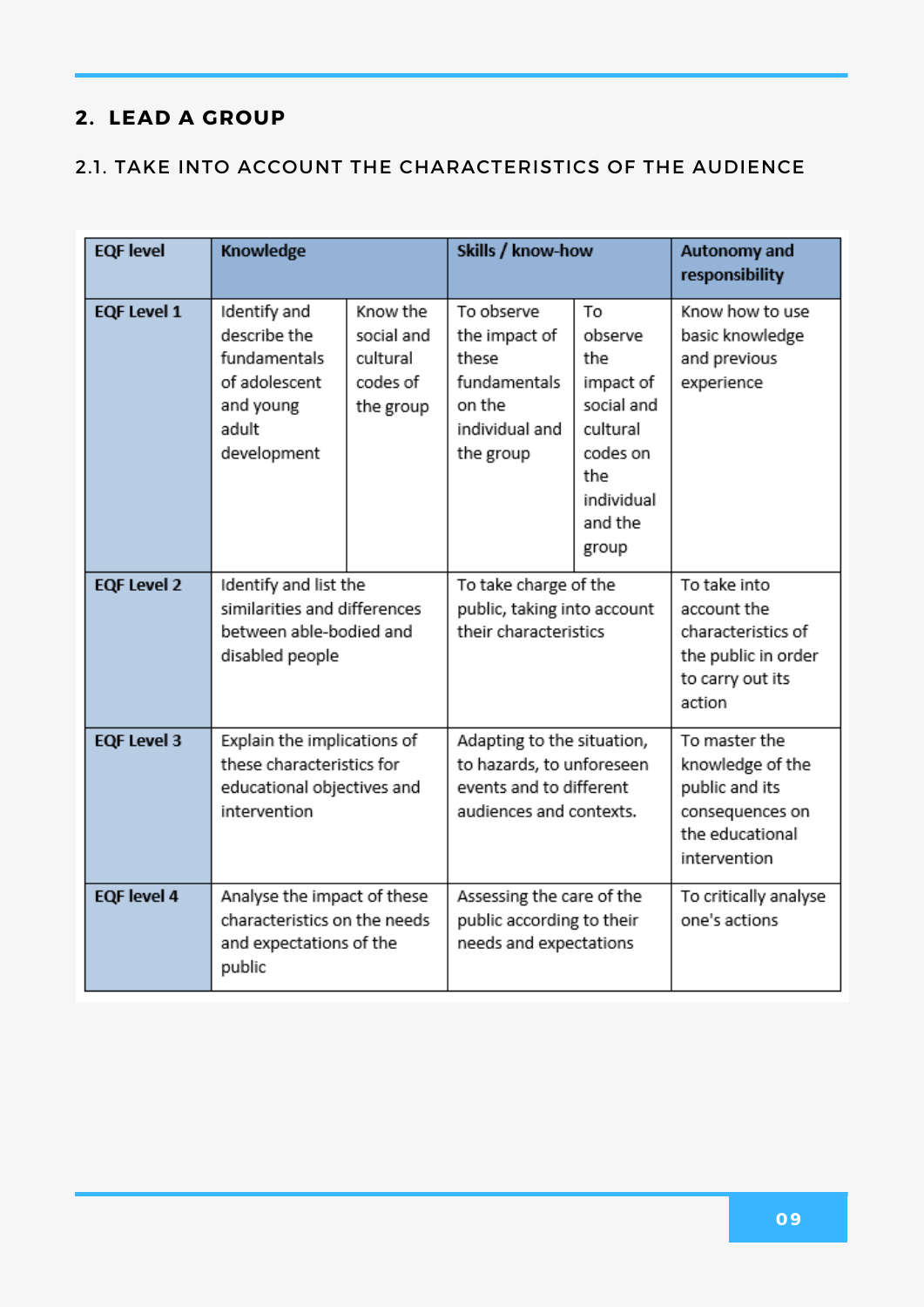#### 2.1. TAKE INTO ACCOUNT THE CHARACTERISTICS OF THE AUDIENCE

| <b>EQF</b> level   | Knowledge                                                                                              |                                                             | Skills / know-how                                                                                             |                                                                                                                  | Autonomy and<br>responsibility                                                                            |
|--------------------|--------------------------------------------------------------------------------------------------------|-------------------------------------------------------------|---------------------------------------------------------------------------------------------------------------|------------------------------------------------------------------------------------------------------------------|-----------------------------------------------------------------------------------------------------------|
| <b>EQF Level 1</b> | Identify and<br>describe the<br>fundamentals<br>of adolescent<br>and young<br>adult<br>development     | Know the<br>social and<br>cultural<br>codes of<br>the group | To observe<br>the impact of<br>these<br>fundamentals<br>on the<br>individual and<br>the group                 | To<br>observe<br>the<br>impact of<br>social and<br>cultural<br>codes on<br>the<br>individual<br>and the<br>group | Know how to use<br>basic knowledge<br>and previous<br>experience                                          |
| <b>EQF Level 2</b> | Identify and list the<br>similarities and differences<br>between able-bodied and<br>disabled people    |                                                             | To take charge of the<br>public, taking into account<br>their characteristics                                 |                                                                                                                  | To take into<br>account the<br>characteristics of<br>the public in order<br>to carry out its<br>action    |
| <b>EQF Level 3</b> | Explain the implications of<br>these characteristics for<br>educational objectives and<br>intervention |                                                             | Adapting to the situation,<br>to hazards, to unforeseen<br>events and to different<br>audiences and contexts. |                                                                                                                  | To master the<br>knowledge of the<br>public and its<br>consequences on<br>the educational<br>intervention |
| <b>EQF</b> level 4 | Analyse the impact of these<br>characteristics on the needs<br>and expectations of the<br>public       |                                                             | Assessing the care of the<br>public according to their<br>needs and expectations                              |                                                                                                                  | To critically analyse<br>one's actions                                                                    |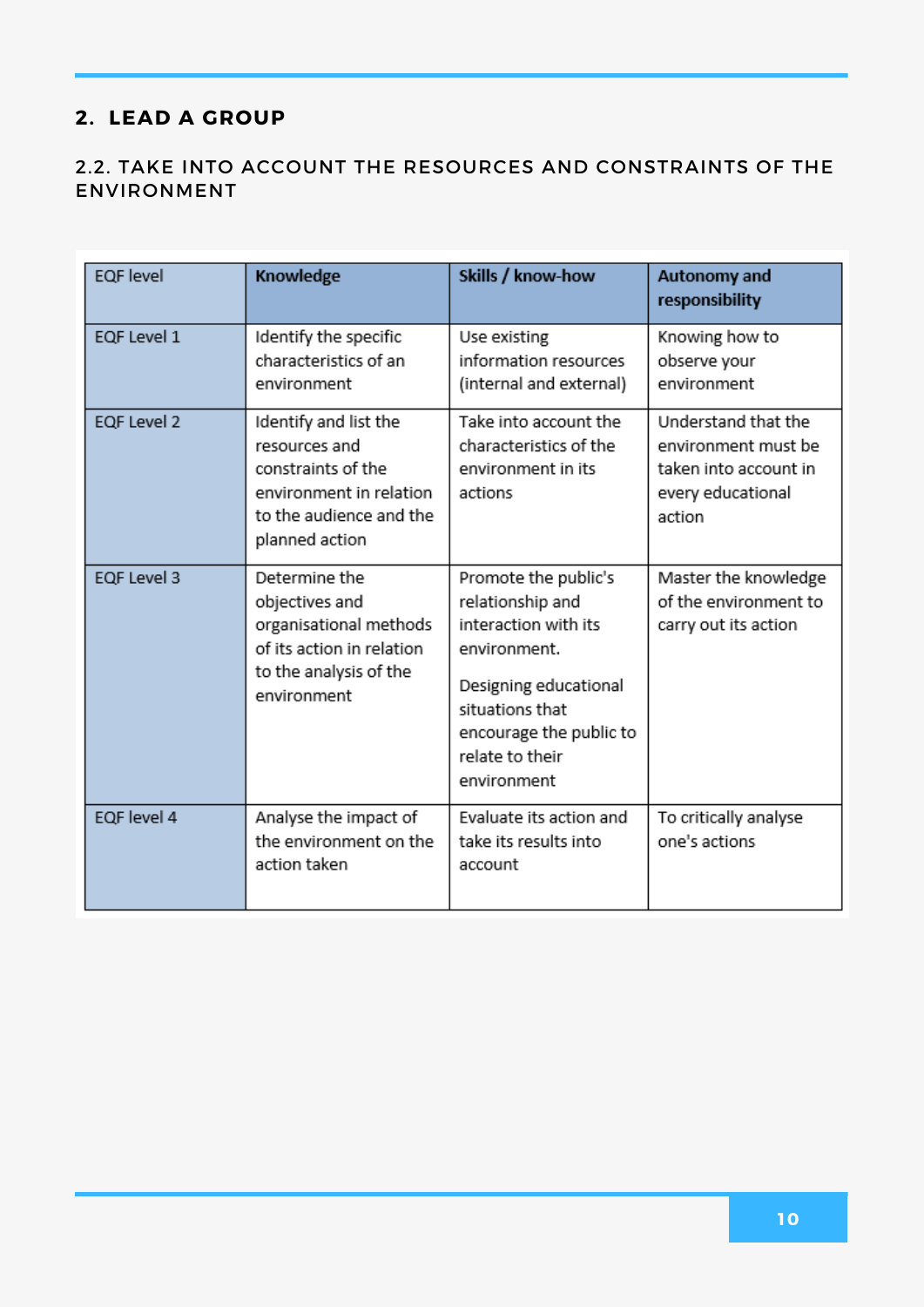#### 2.2. TAKE INTO ACCOUNT THE RESOURCES AND CONSTRAINTS OF THE ENVIRONMENT

| <b>EQF</b> level   | Knowledge                                                                                                                            | Skills / know-how                                                                                                                                                                         | <b>Autonomy and</b><br>responsibility                                                              |
|--------------------|--------------------------------------------------------------------------------------------------------------------------------------|-------------------------------------------------------------------------------------------------------------------------------------------------------------------------------------------|----------------------------------------------------------------------------------------------------|
| EQF Level 1        | Identify the specific<br>characteristics of an<br>environment                                                                        | Use existing<br>information resources<br>(internal and external)                                                                                                                          | Knowing how to<br>observe your<br>environment                                                      |
| EQF Level 2        | Identify and list the<br>resources and<br>constraints of the<br>environment in relation<br>to the audience and the<br>planned action | Take into account the<br>characteristics of the<br>environment in its<br>actions                                                                                                          | Understand that the<br>environment must be<br>taken into account in<br>every educational<br>action |
| <b>EQF Level 3</b> | Determine the<br>objectives and<br>organisational methods<br>of its action in relation<br>to the analysis of the<br>environment      | Promote the public's<br>relationship and<br>interaction with its<br>environment.<br>Designing educational<br>situations that<br>encourage the public to<br>relate to their<br>environment | Master the knowledge<br>of the environment to<br>carry out its action                              |
| EQF level 4        | Analyse the impact of<br>the environment on the<br>action taken                                                                      | Evaluate its action and<br>take its results into<br>account                                                                                                                               | To critically analyse<br>one's actions                                                             |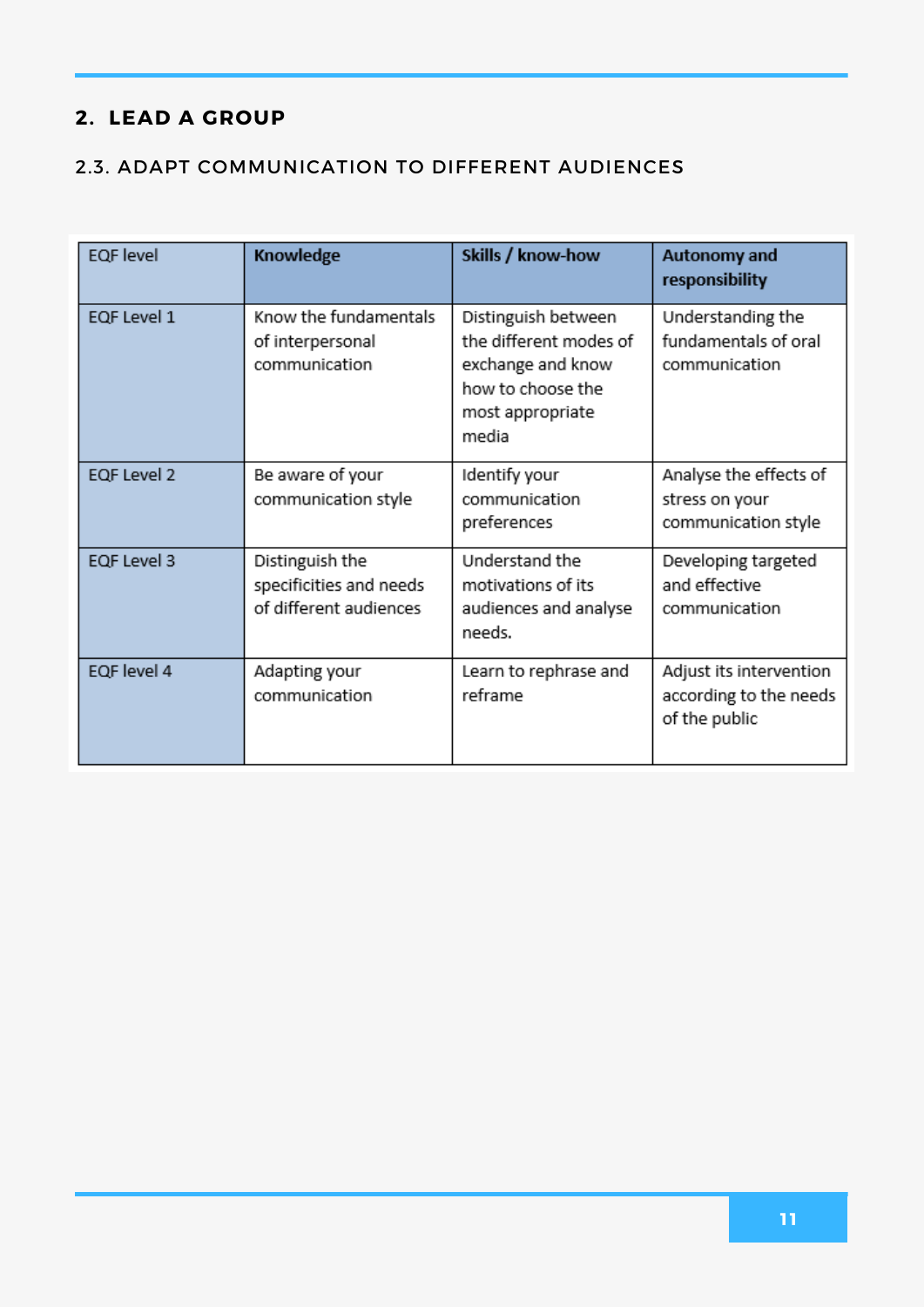#### 2.3. ADAPT COMMUNICATION TO DIFFERENT AUDIENCES

| <b>EQF</b> level | Knowledge                                                            | Skills / know-how                                                                                                    | Autonomy and<br>responsibility                                     |
|------------------|----------------------------------------------------------------------|----------------------------------------------------------------------------------------------------------------------|--------------------------------------------------------------------|
| EQF Level 1      | Know the fundamentals<br>of interpersonal<br>communication           | Distinguish between<br>the different modes of<br>exchange and know<br>how to choose the<br>most appropriate<br>media | Understanding the<br>fundamentals of oral<br>communication         |
| EQF Level 2      | Be aware of your<br>communication style                              | Identify your<br>communication<br>preferences                                                                        | Analyse the effects of<br>stress on your<br>communication style    |
| EQF Level 3      | Distinguish the<br>specificities and needs<br>of different audiences | Understand the<br>motivations of its<br>audiences and analyse<br>needs.                                              | Developing targeted<br>and effective<br>communication              |
| EQF level 4      | Adapting your<br>communication                                       | Learn to rephrase and<br>reframe                                                                                     | Adjust its intervention<br>according to the needs<br>of the public |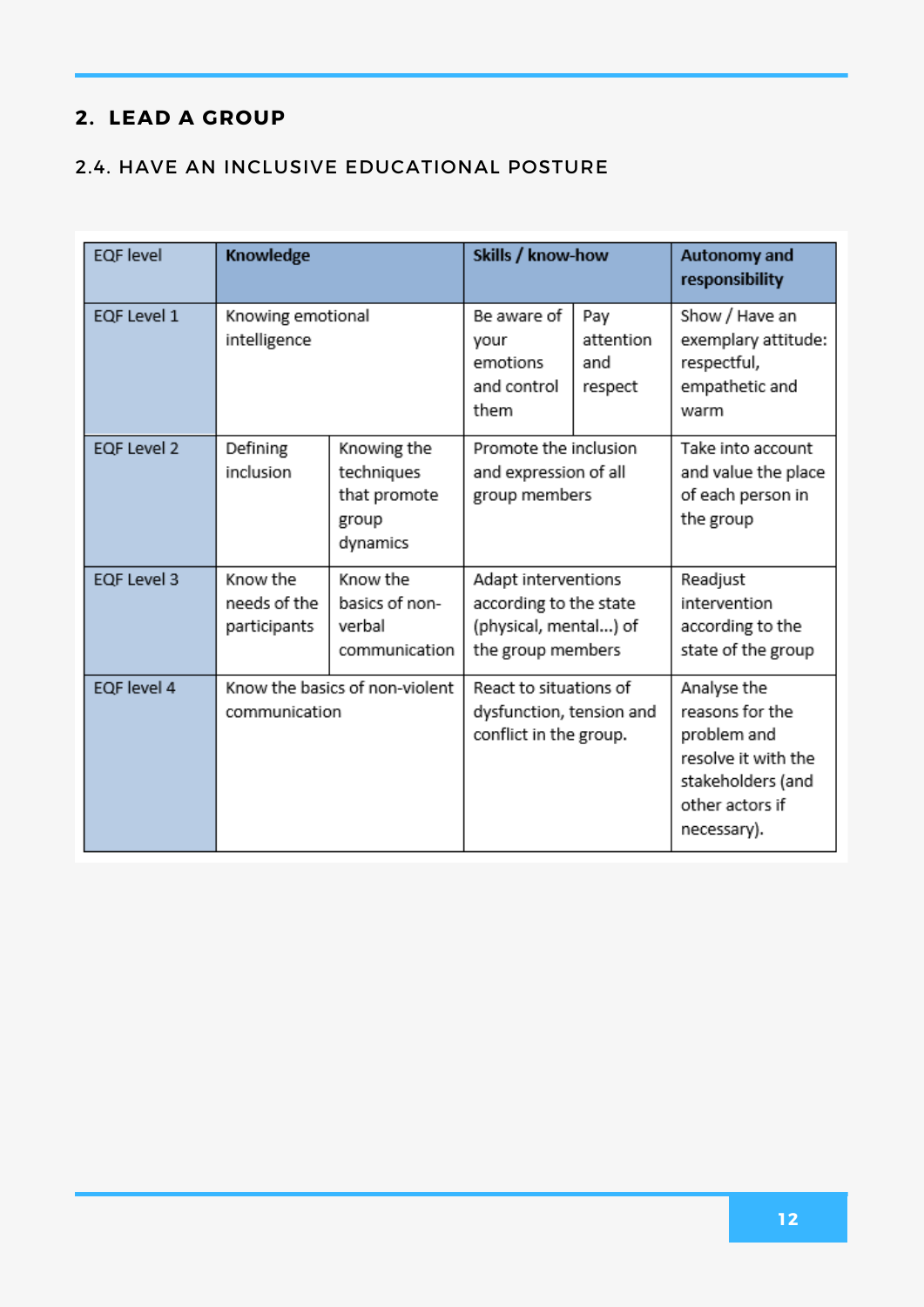#### 2.4. HAVE AN INCLUSIVE EDUCATIONAL POSTURE

| <b>EQF</b> level | Knowledge                                |                                                                | Skills / know-how                                                                           |                                    | <b>Autonomy and</b><br>responsibility                                                                                       |
|------------------|------------------------------------------|----------------------------------------------------------------|---------------------------------------------------------------------------------------------|------------------------------------|-----------------------------------------------------------------------------------------------------------------------------|
| EQF Level 1      | Knowing emotional<br>intelligence        |                                                                | Be aware of<br>your<br>emotions<br>and control<br>them                                      | Pay<br>attention<br>and<br>respect | Show / Have an<br>exemplary attitude:<br>respectful,<br>empathetic and<br>warm                                              |
| EQF Level 2      | Defining<br>inclusion                    | Knowing the<br>techniques<br>that promote<br>group<br>dynamics | Promote the inclusion<br>and expression of all<br>group members                             |                                    | Take into account<br>and value the place<br>of each person in<br>the group                                                  |
| EQF Level 3      | Know the<br>needs of the<br>participants | Know the<br>basics of non-<br>verbal<br>communication          | Adapt interventions<br>according to the state<br>(physical, mental) of<br>the group members |                                    | Readjust<br>intervention<br>according to the<br>state of the group                                                          |
| EQF level 4      | communication                            | Know the basics of non-violent                                 | React to situations of<br>dysfunction, tension and<br>conflict in the group.                |                                    | Analyse the<br>reasons for the<br>problem and<br>resolve it with the<br>stakeholders (and<br>other actors if<br>necessary). |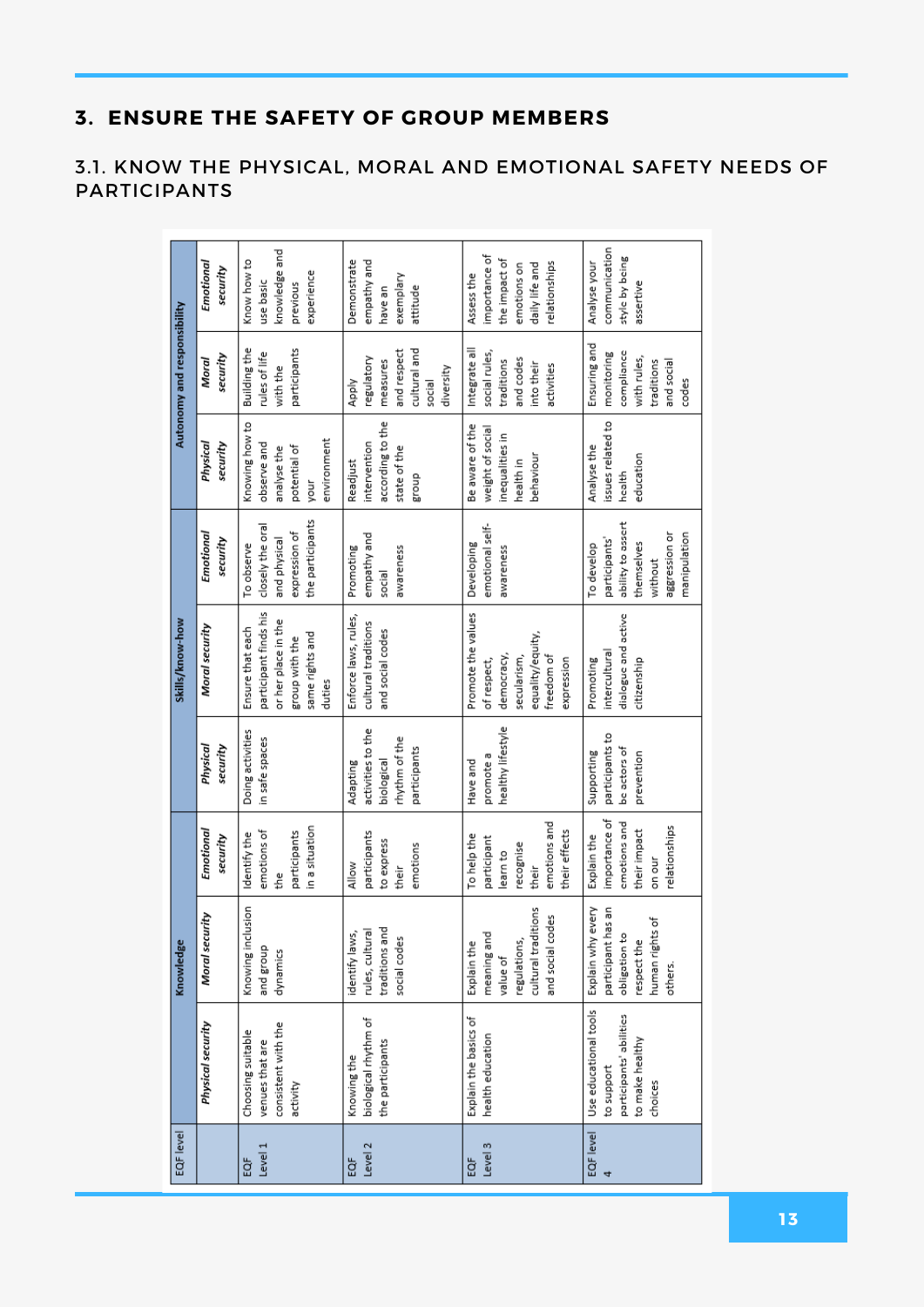#### 3.1. KNOW THE PHYSICAL, MORAL AND EMOTIONAL SAFETY NEEDS OF PARTICIPANTS

|                                                                                              | Knowledge                                                                                             |                                                                                               |                                                                              | Skills/know-how                                                                                                 |                                                                                                            |                                                                                     | Autonomy and responsibility                                                                  |                                                                                                |
|----------------------------------------------------------------------------------------------|-------------------------------------------------------------------------------------------------------|-----------------------------------------------------------------------------------------------|------------------------------------------------------------------------------|-----------------------------------------------------------------------------------------------------------------|------------------------------------------------------------------------------------------------------------|-------------------------------------------------------------------------------------|----------------------------------------------------------------------------------------------|------------------------------------------------------------------------------------------------|
| Physical security                                                                            | Moral security                                                                                        | Emotional<br>security                                                                         | security<br>Physical                                                         | Moral security                                                                                                  | Emotional<br>security                                                                                      | Physical<br>security                                                                | security<br>Moral                                                                            | Emotional<br>security                                                                          |
| consistent with the<br>Choosing suitable<br>venues that are<br>activity                      | Knowing inclusion<br>and group<br>dynamics                                                            | in a situation<br>emotions of<br>participants<br>Identify the<br>the<br>f                     | Doing activities<br>in safe spaces                                           | participant finds his<br>or her place in the<br>Ensure that each<br>same rights and<br>group with the<br>duties | the participants<br>closely the oral<br>expression of<br>and physical<br>To observe                        | Knowing how to<br>environment<br>observe and<br>potential of<br>analyse the<br>your | Building the<br>participants<br>rules of life<br>with the                                    | knowledge and<br>Know how to<br>experience<br>use basic<br>previous                            |
| biological rhythm of<br>the participants<br>Knowing the                                      | traditions and<br>rules, cultural<br>identify laws,<br>social codes                                   | participants<br>to express<br>emotions<br>Allow<br>their                                      | activities to the<br>rhythm of the<br>participants<br>biological<br>Adapting | Enforce laws, rules,<br>cultural traditions<br>and social codes                                                 | empathy and<br>Promoting<br>awareness<br>social                                                            | according to the<br>intervention<br>state of the<br>Readjust<br>dnouß               | cultural and<br>and respect<br>regulatory<br>measures<br>diversity<br>Apply<br>social        | Demonstrate<br>empathy and<br>exemplary<br>attitude<br>have an                                 |
| Explain the basics of<br>health education                                                    | cultural traditions<br>and social codes<br>meaning and<br>regulations,<br>Explain the<br>value of     | emotions and<br>their effects<br>To help the<br>participant<br>recognise<br>learn to<br>their | healthy lifestyle<br>promote a<br>Have and                                   | Promote the values<br>equality/equity,<br>democracy,<br>secularism,<br>freedom of<br>expression<br>of respect,  | emotional self-<br>Developing<br>awareness                                                                 | Be aware of the<br>weight of social<br>inequalities in<br>behaviour<br>health in    | Integrate all<br>social rules,<br>and codes<br>traditions<br>into their<br>activities        | importance of<br>the impact of<br>relationships<br>emotions on<br>daily life and<br>Assess the |
| Use educational tools<br>participants' abilities<br>to make healthy<br>to support<br>choices | Explain why every<br>participant has an<br>human rights of<br>obligation to<br>respect the<br>others. | importance of<br>emotions and<br>relationships<br>their impact<br>Explain the<br>on our       | participants to<br>be actors of<br>Supporting<br>prevention                  | dialogue and active<br>intercultural<br>Promoting<br>citizenship                                                | ability to assert<br>aggression or<br>manipulation<br>participants'<br>themselves<br>To develop<br>without | issues related to<br>Analyse the<br>education<br>health                             | Ensuring and<br>compliance<br>monitoring<br>with rules,<br>traditions<br>and social<br>codes | communication<br>style by being<br>Analyse your<br>assertive                                   |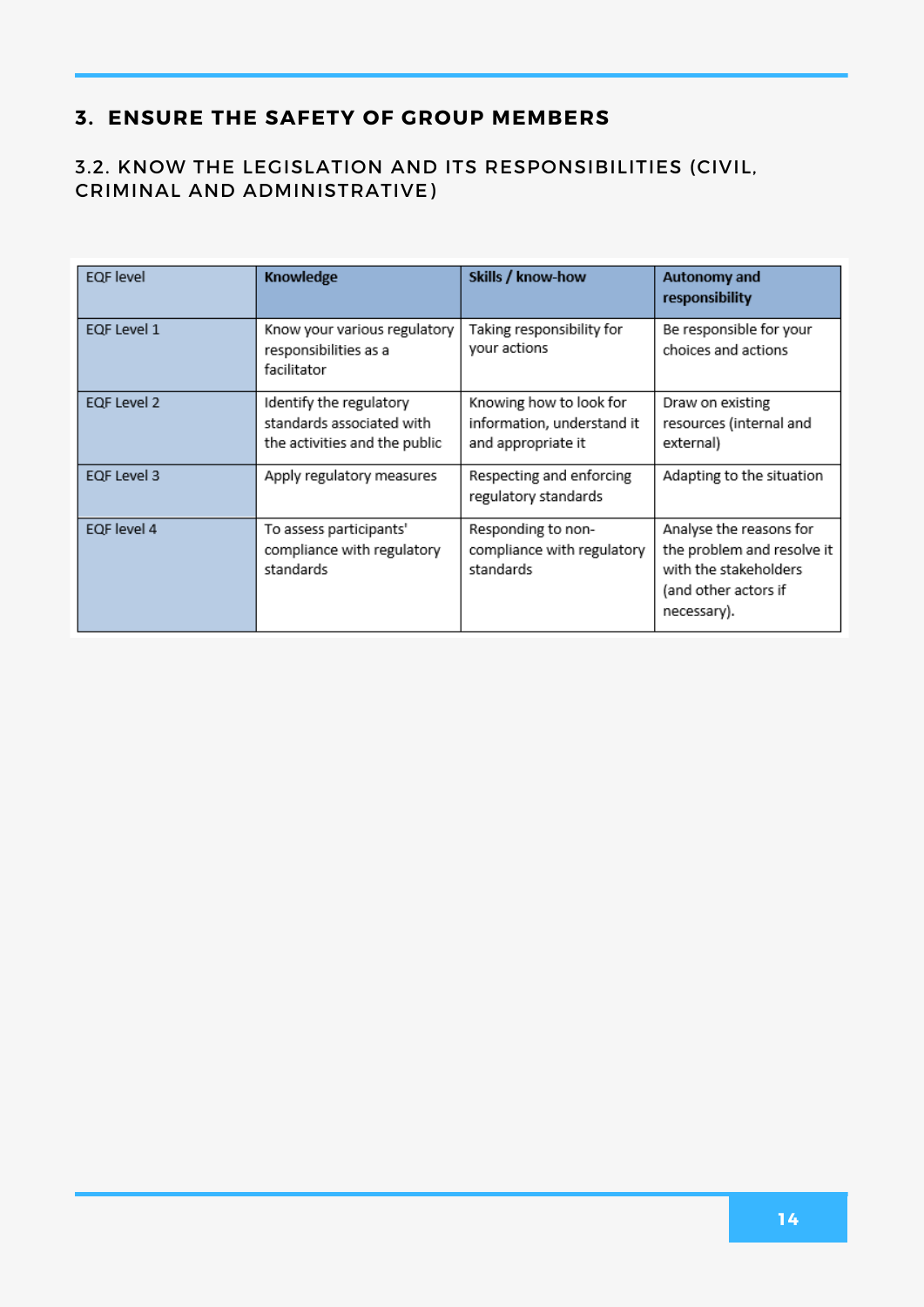#### 3.2. KNOW THE LEGISLATION AND ITS RESPONSIBILITIES (CIVIL, CRIMINAL AND ADMINISTRATIVE)

| <b>EQF</b> level | Knowledge                                                                             | Skills / know-how                                                           | <b>Autonomy and</b><br>responsibility                                                                                 |
|------------------|---------------------------------------------------------------------------------------|-----------------------------------------------------------------------------|-----------------------------------------------------------------------------------------------------------------------|
| EQF Level 1      | Know your various regulatory<br>responsibilities as a<br>facilitator                  | Taking responsibility for<br>your actions                                   | Be responsible for your<br>choices and actions                                                                        |
| EQF Level 2      | Identify the regulatory<br>standards associated with<br>the activities and the public | Knowing how to look for<br>information, understand it<br>and appropriate it | Draw on existing<br>resources (internal and<br>external)                                                              |
| EQF Level 3      | Apply regulatory measures                                                             | Respecting and enforcing<br>regulatory standards                            | Adapting to the situation                                                                                             |
| EQF level 4      | To assess participants'<br>compliance with regulatory<br>standards                    | Responding to non-<br>compliance with regulatory<br>standards               | Analyse the reasons for<br>the problem and resolve it<br>with the stakeholders<br>(and other actors if<br>necessary). |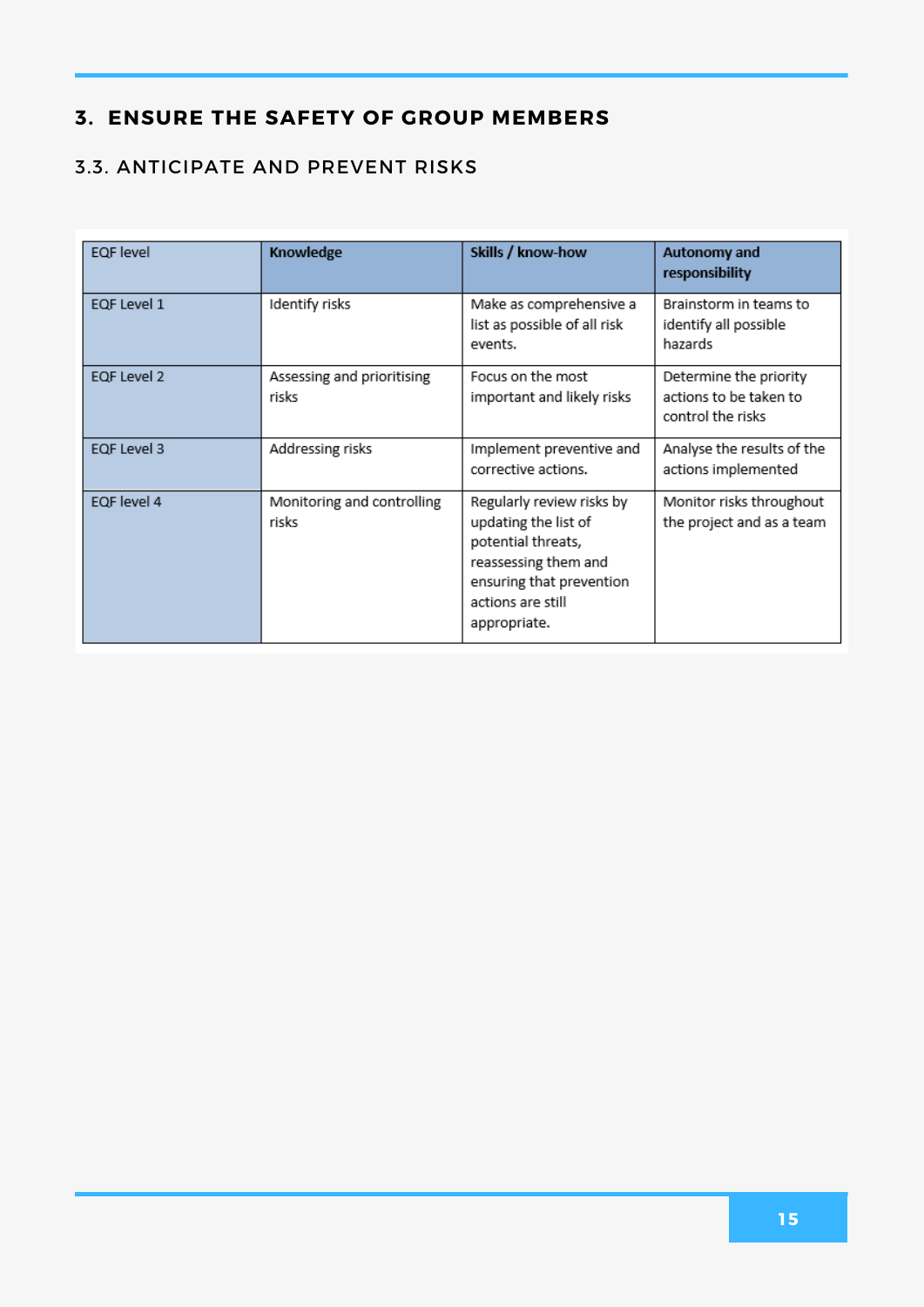#### 3.3. ANTICIPATE AND PREVENT RISKS

| EQF level   | Knowledge                           | Skills / know-how                                                                                                                                                | Autonomy and<br>responsibility                                        |
|-------------|-------------------------------------|------------------------------------------------------------------------------------------------------------------------------------------------------------------|-----------------------------------------------------------------------|
| EQF Level 1 | Identify risks                      | Make as comprehensive a<br>list as possible of all risk<br>events.                                                                                               | Brainstorm in teams to<br>identify all possible<br>hazards            |
| EQF Level 2 | Assessing and prioritising<br>risks | Focus on the most<br>important and likely risks                                                                                                                  | Determine the priority<br>actions to be taken to<br>control the risks |
| EQF Level 3 | Addressing risks                    | Implement preventive and<br>corrective actions.                                                                                                                  | Analyse the results of the<br>actions implemented                     |
| EQF level 4 | Monitoring and controlling<br>risks | Regularly review risks by<br>updating the list of<br>potential threats,<br>reassessing them and<br>ensuring that prevention<br>actions are still<br>appropriate. | Monitor risks throughout<br>the project and as a team                 |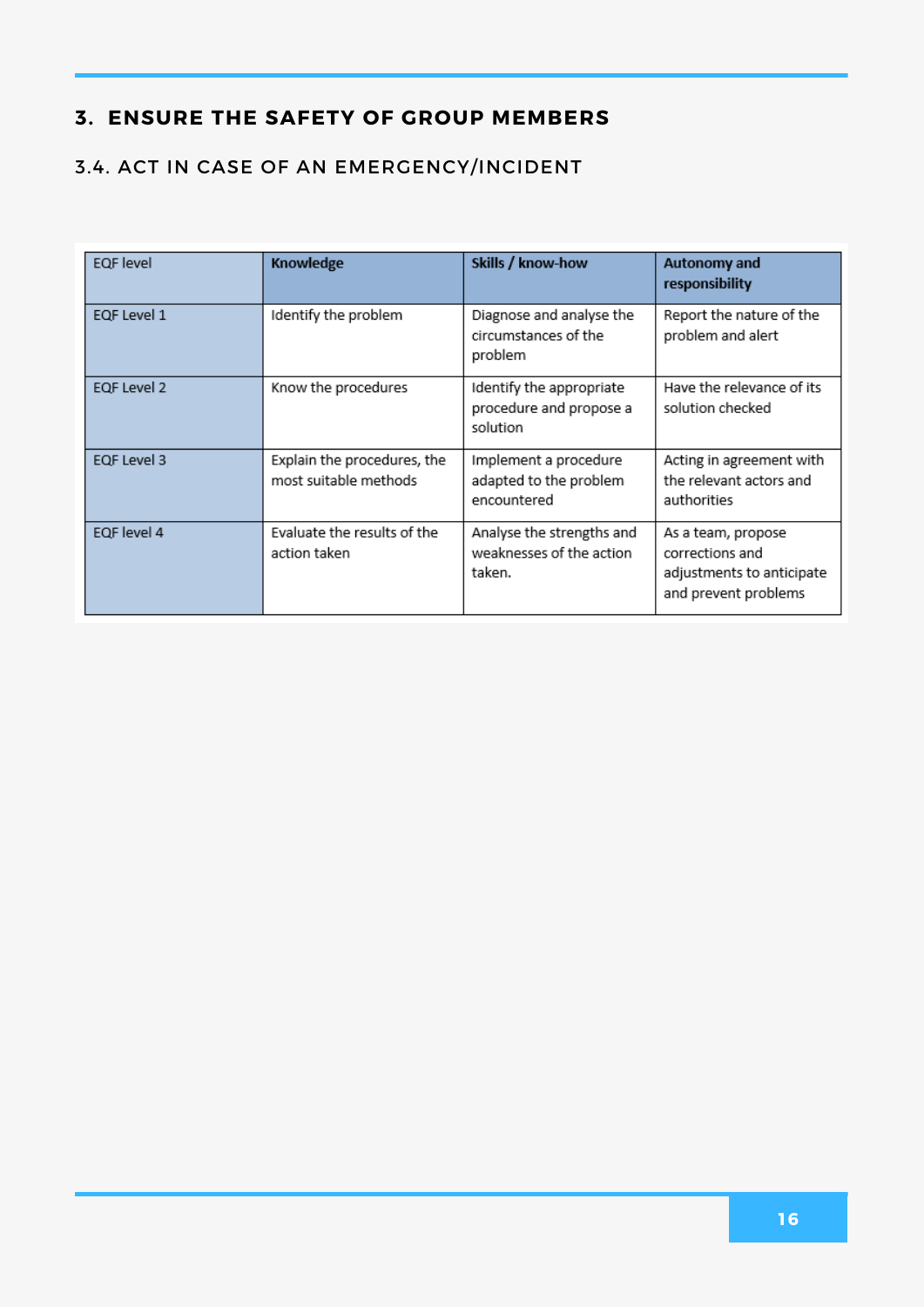#### 3.4. ACT IN CASE OF AN EMERGENCY/INCIDENT

| <b>EQF</b> level | Knowledge                                            | Skills / know-how                                               | <b>Autonomy and</b><br>responsibility                                                      |
|------------------|------------------------------------------------------|-----------------------------------------------------------------|--------------------------------------------------------------------------------------------|
| EQF Level 1      | Identify the problem                                 | Diagnose and analyse the<br>circumstances of the<br>problem     | Report the nature of the<br>problem and alert                                              |
| EQF Level 2      | Know the procedures                                  | Identify the appropriate<br>procedure and propose a<br>solution | Have the relevance of its<br>solution checked                                              |
| EQF Level 3      | Explain the procedures, the<br>most suitable methods | Implement a procedure<br>adapted to the problem<br>encountered  | Acting in agreement with<br>the relevant actors and<br>authorities                         |
| EQF level 4      | Evaluate the results of the<br>action taken          | Analyse the strengths and<br>weaknesses of the action<br>taken. | As a team, propose<br>corrections and<br>adjustments to anticipate<br>and prevent problems |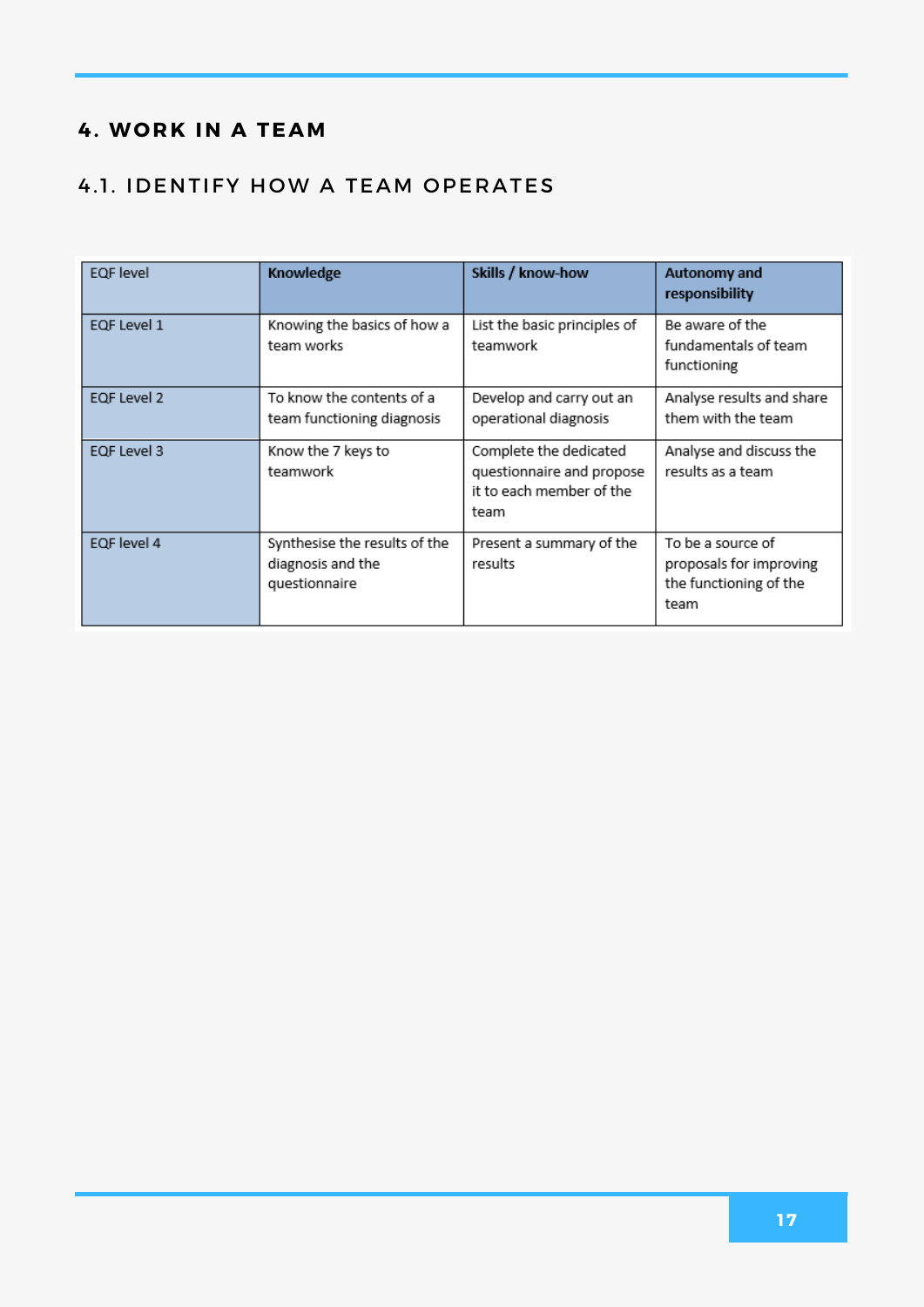#### **4. WO RK IN A TEAM**

#### 4.1. IDENTIFY HOW A TEAM OPERATES

| <b>EQF</b> level | Knowledge                                                           | Skills / know-how                                                                       | Autonomy and<br>responsibility                                                 |
|------------------|---------------------------------------------------------------------|-----------------------------------------------------------------------------------------|--------------------------------------------------------------------------------|
| EQF Level 1      | Knowing the basics of how a<br>team works                           | List the basic principles of<br>teamwork                                                | Be aware of the<br>fundamentals of team<br>functioning                         |
| EQF Level 2      | To know the contents of a<br>team functioning diagnosis             | Develop and carry out an<br>operational diagnosis                                       | Analyse results and share<br>them with the team                                |
| EQF Level 3      | Know the 7 keys to<br>teamwork                                      | Complete the dedicated<br>questionnaire and propose<br>it to each member of the<br>team | Analyse and discuss the<br>results as a team                                   |
| EQF level 4      | Synthesise the results of the<br>diagnosis and the<br>questionnaire | Present a summary of the<br>results                                                     | To be a source of<br>proposals for improving<br>the functioning of the<br>team |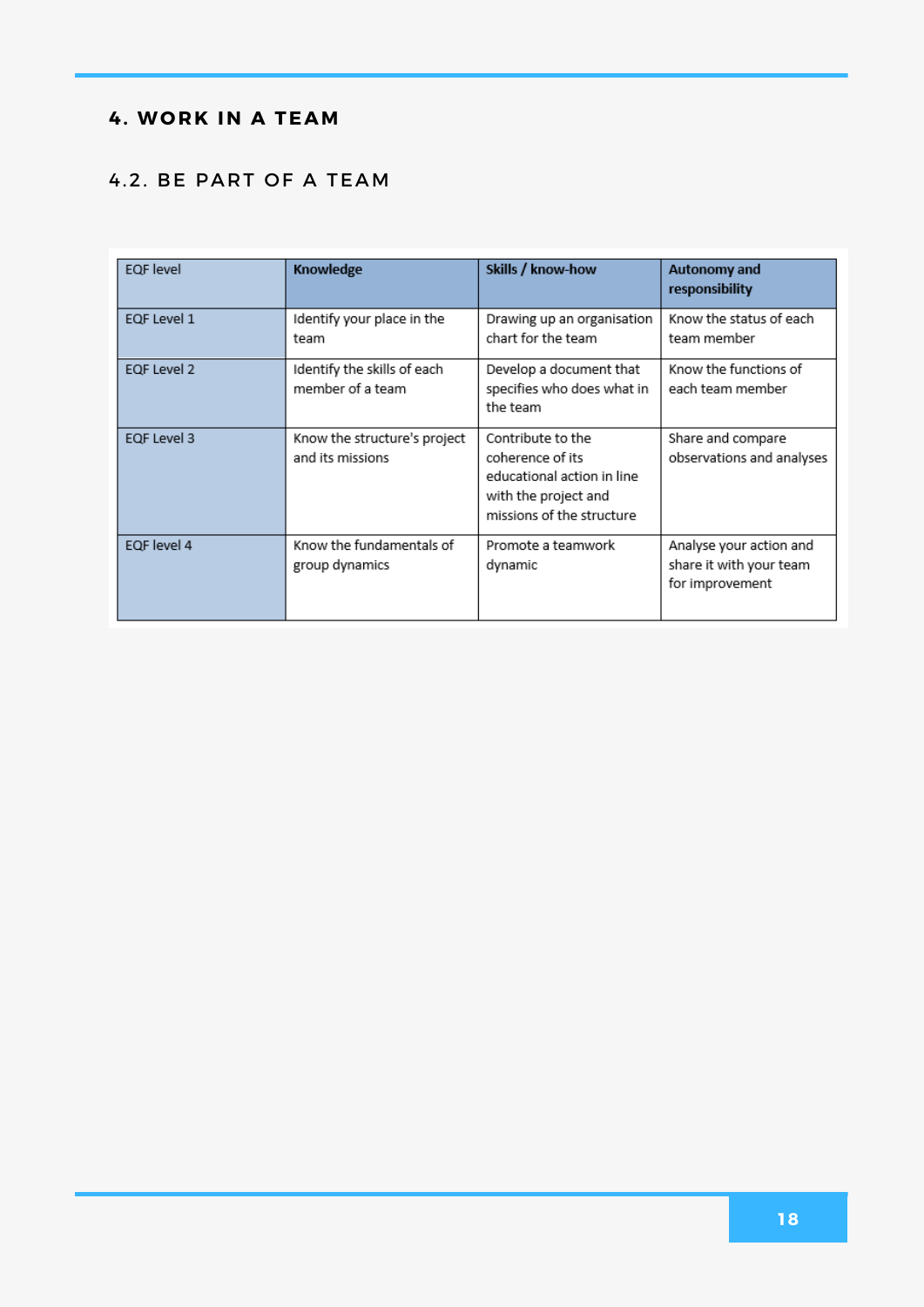#### **4. WO RK IN A TEAM**

#### 4.2. BE PART OF A TEAM

| <b>EQF</b> level | Knowledge                                        | Skills / know-how                                                                                                        | Autonomy and<br>responsibility                                        |
|------------------|--------------------------------------------------|--------------------------------------------------------------------------------------------------------------------------|-----------------------------------------------------------------------|
| EQF Level 1      | Identify your place in the<br>team               | Drawing up an organisation<br>chart for the team                                                                         | Know the status of each<br>team member                                |
| EQF Level 2      | Identify the skills of each<br>member of a team  | Develop a document that<br>specifies who does what in<br>the team                                                        | Know the functions of<br>each team member                             |
| EQF Level 3      | Know the structure's project<br>and its missions | Contribute to the<br>coherence of its<br>educational action in line<br>with the project and<br>missions of the structure | Share and compare<br>observations and analyses                        |
| EQF level 4      | Know the fundamentals of<br>group dynamics       | Promote a teamwork<br>dynamic                                                                                            | Analyse your action and<br>share it with your team<br>for improvement |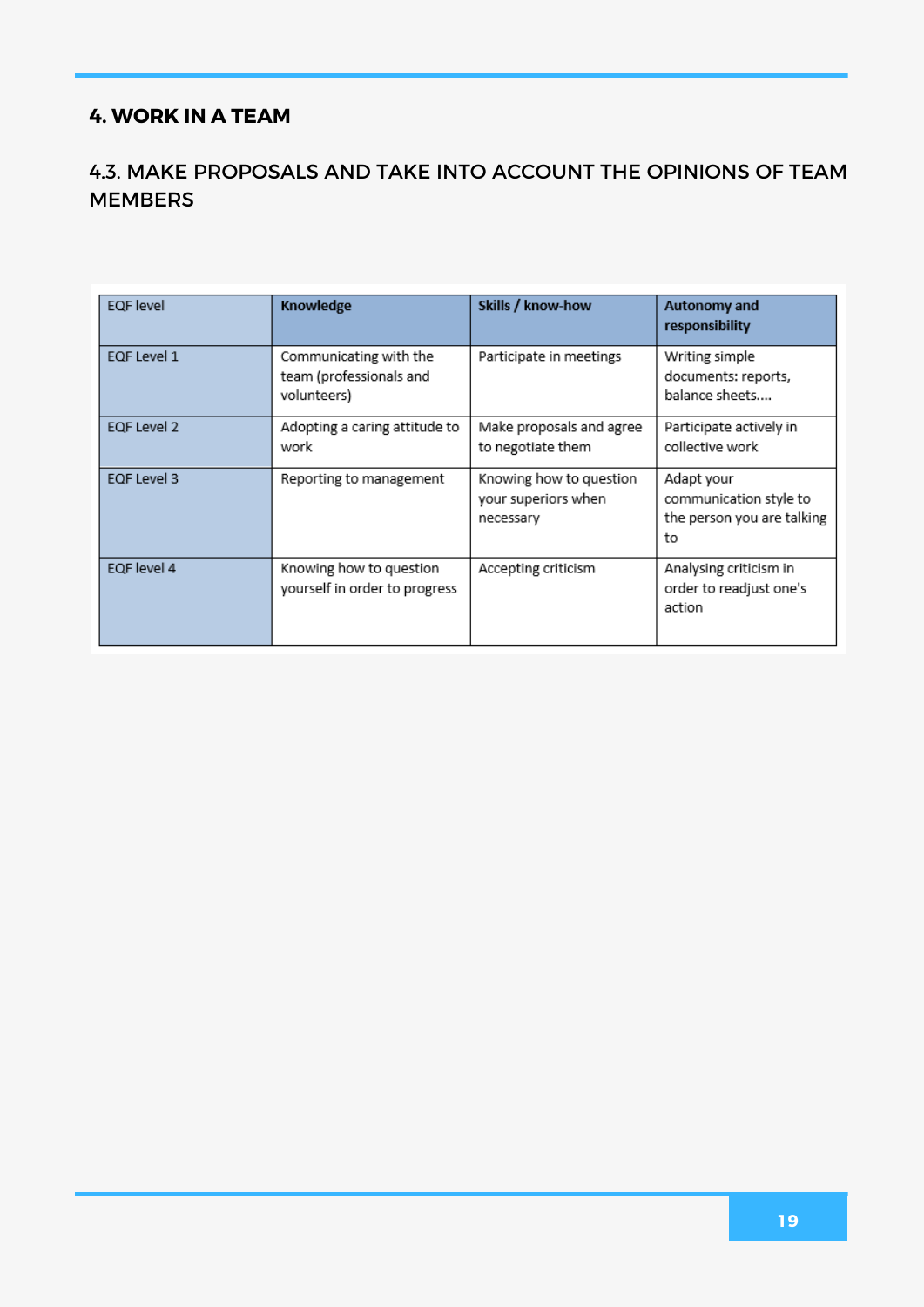#### **4. WORK IN A TEAM**

#### 4.3. MAKE PROPOSALS AND TAKE INTO ACCOUNT THE OPINIONS OF TEAM MEMBERS

| <b>EQF</b> level | Knowledge                                                        | Skills / know-how                                           | Autonomy and<br>responsibility                                           |
|------------------|------------------------------------------------------------------|-------------------------------------------------------------|--------------------------------------------------------------------------|
| EQF Level 1      | Communicating with the<br>team (professionals and<br>volunteers) | Participate in meetings                                     | Writing simple<br>documents: reports,<br>balance sheets                  |
| EQF Level 2      | Adopting a caring attitude to<br>work                            | Make proposals and agree<br>to negotiate them               | Participate actively in<br>collective work                               |
| EQF Level 3      | Reporting to management                                          | Knowing how to question<br>your superiors when<br>necessary | Adapt your<br>communication style to<br>the person you are talking<br>to |
| EQF level 4      | Knowing how to question<br>yourself in order to progress         | Accepting criticism                                         | Analysing criticism in<br>order to readjust one's<br>action              |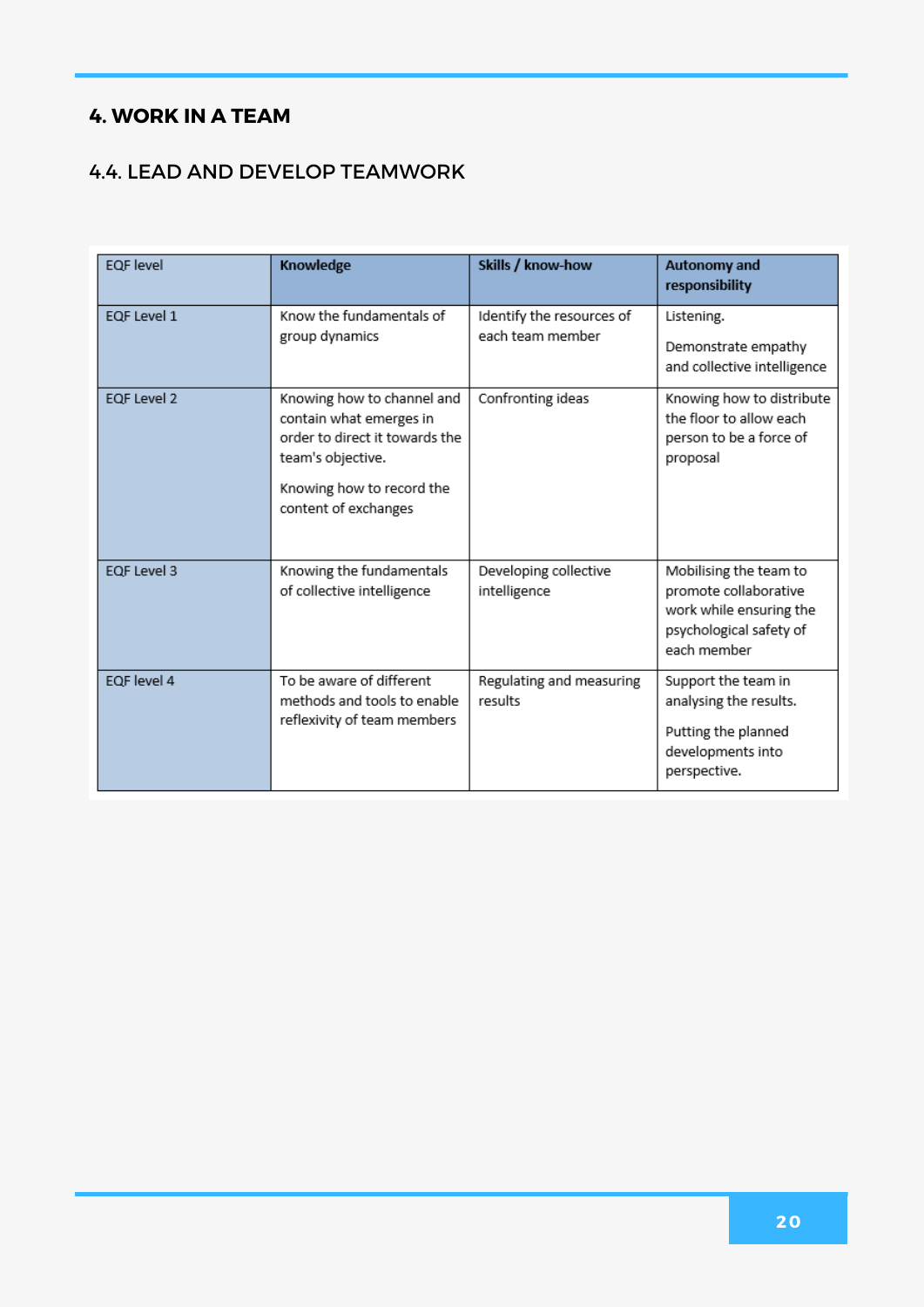#### **4. WORK IN A TEAM**

#### 4.4. LEAD AND DEVELOP TEAMWORK

| <b>EQF</b> level | Knowledge                                                                                                                                                         | Skills / know-how                             | <b>Autonomy and</b><br>responsibility                                                                                |
|------------------|-------------------------------------------------------------------------------------------------------------------------------------------------------------------|-----------------------------------------------|----------------------------------------------------------------------------------------------------------------------|
| EQF Level 1      | Know the fundamentals of<br>group dynamics                                                                                                                        | Identify the resources of<br>each team member | Listening.<br>Demonstrate empathy<br>and collective intelligence                                                     |
| EQF Level 2      | Knowing how to channel and<br>contain what emerges in<br>order to direct it towards the<br>team's objective.<br>Knowing how to record the<br>content of exchanges | Confronting ideas                             | Knowing how to distribute<br>the floor to allow each<br>person to be a force of<br>proposal                          |
| EQF Level 3      | Knowing the fundamentals<br>of collective intelligence                                                                                                            | Developing collective<br>intelligence         | Mobilising the team to<br>promote collaborative<br>work while ensuring the<br>psychological safety of<br>each member |
| EQF level 4      | To be aware of different<br>methods and tools to enable<br>reflexivity of team members                                                                            | Regulating and measuring<br>results           | Support the team in<br>analysing the results.<br>Putting the planned<br>developments into<br>perspective.            |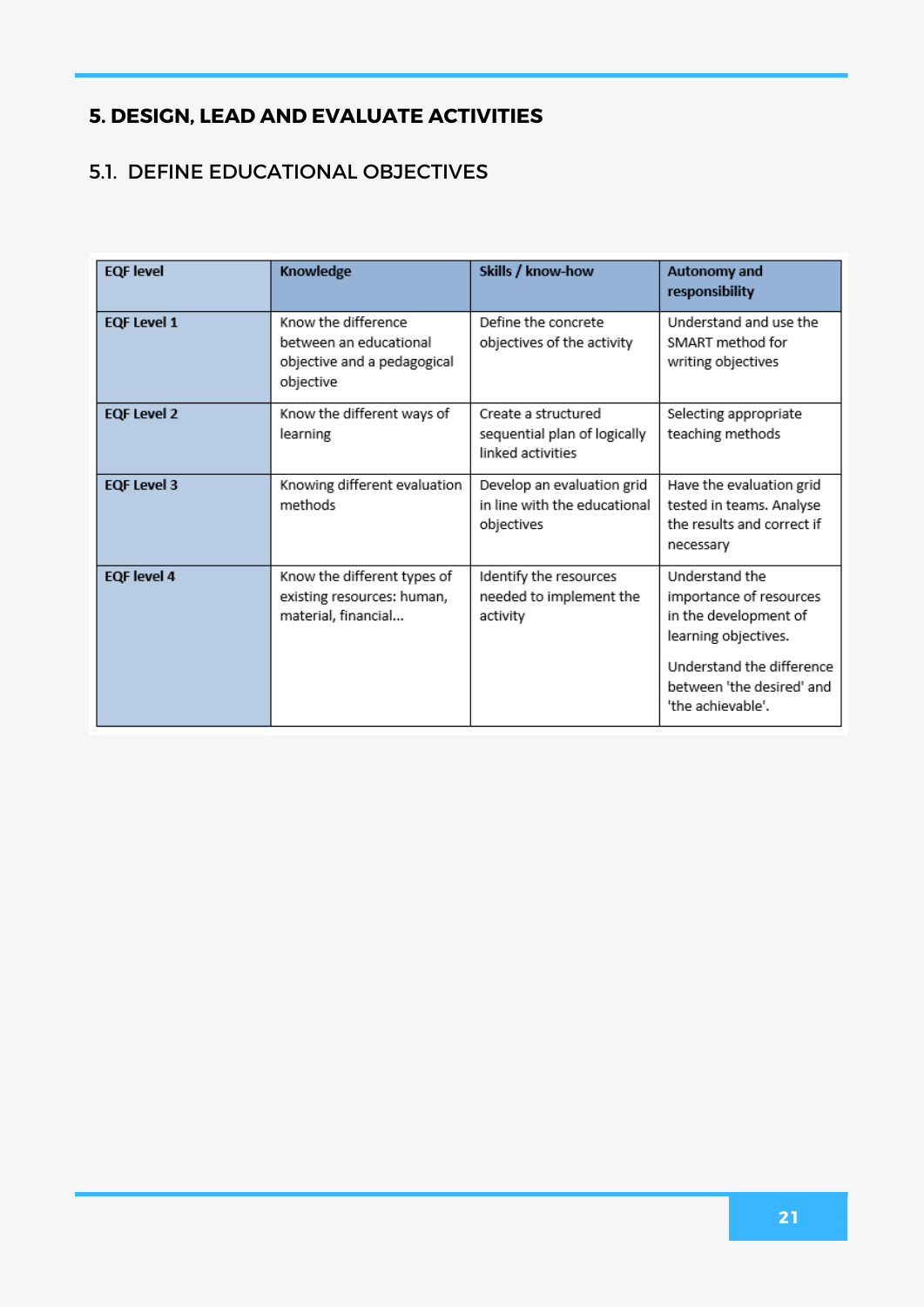#### 5.1. DEFINE EDUCATIONAL OBJECTIVES

| <b>EQF</b> level   | Knowledge                                                                                 | Skills / know-how                                                        | <b>Autonomy and</b><br>responsibility                                                                                                                                     |
|--------------------|-------------------------------------------------------------------------------------------|--------------------------------------------------------------------------|---------------------------------------------------------------------------------------------------------------------------------------------------------------------------|
| <b>EQF Level 1</b> | Know the difference<br>between an educational<br>objective and a pedagogical<br>objective | Define the concrete<br>objectives of the activity                        | Understand and use the<br>SMART method for<br>writing objectives                                                                                                          |
| <b>EQF Level 2</b> | Know the different ways of<br>learning                                                    | Create a structured<br>sequential plan of logically<br>linked activities | Selecting appropriate<br>teaching methods                                                                                                                                 |
| <b>EQF Level 3</b> | Knowing different evaluation<br>methods                                                   | Develop an evaluation grid<br>in line with the educational<br>objectives | Have the evaluation grid<br>tested in teams. Analyse<br>the results and correct if<br>necessary                                                                           |
| <b>EQF</b> level 4 | Know the different types of<br>existing resources: human,<br>material, financial          | Identify the resources<br>needed to implement the<br>activity            | Understand the<br>importance of resources<br>in the development of<br>learning objectives.<br>Understand the difference<br>between 'the desired' and<br>'the achievable'. |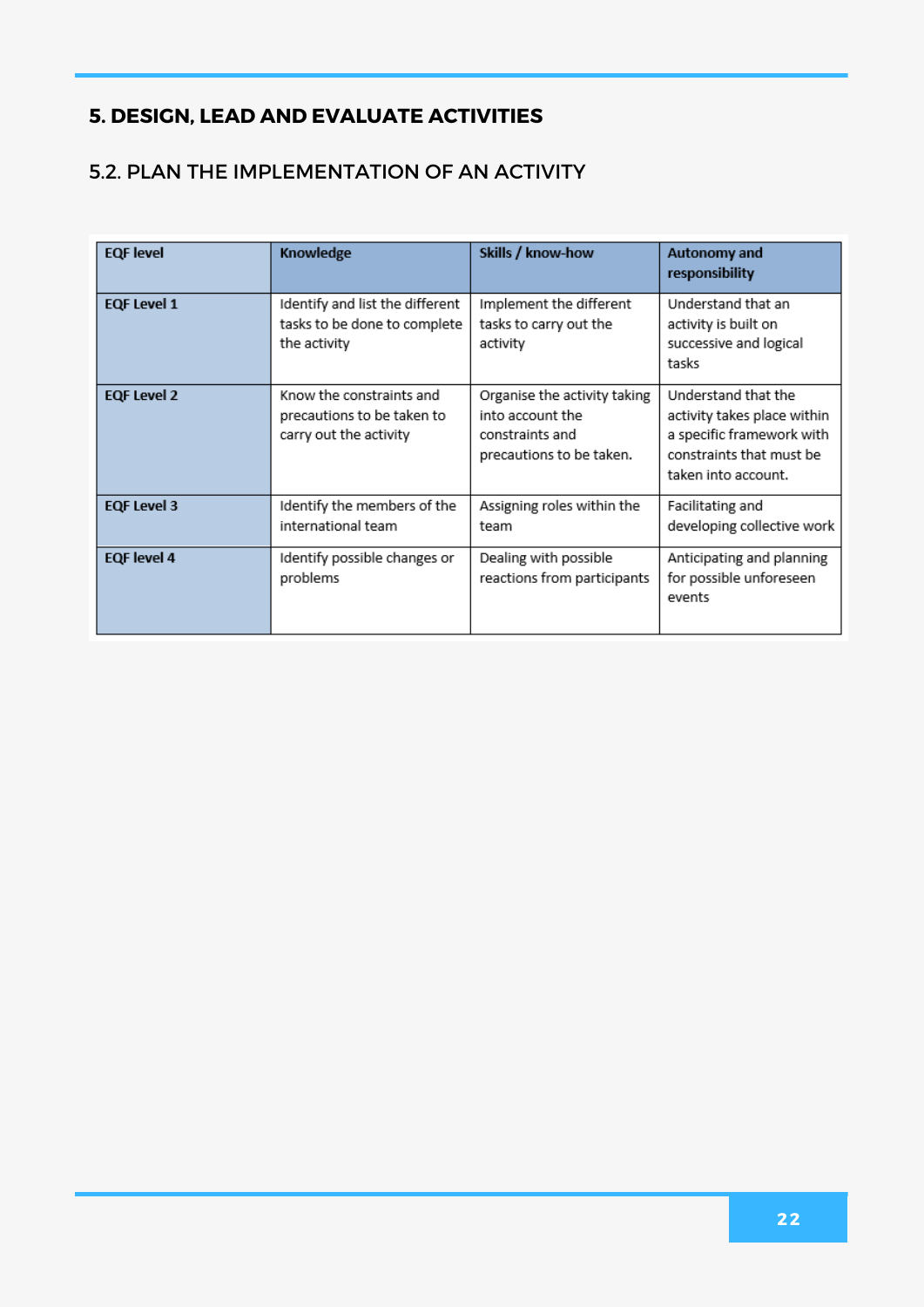#### 5.2. PLAN THE IMPLEMENTATION OF AN ACTIVITY

| <b>EQF</b> level   | Knowledge                                                                        | Skills / know-how                                                                               | Autonomy and<br>responsibility                                                                                                     |
|--------------------|----------------------------------------------------------------------------------|-------------------------------------------------------------------------------------------------|------------------------------------------------------------------------------------------------------------------------------------|
| <b>EQF Level 1</b> | Identify and list the different<br>tasks to be done to complete<br>the activity  | Implement the different<br>tasks to carry out the<br>activity                                   | Understand that an<br>activity is built on<br>successive and logical<br>tasks                                                      |
| <b>EQF Level 2</b> | Know the constraints and<br>precautions to be taken to<br>carry out the activity | Organise the activity taking<br>into account the<br>constraints and<br>precautions to be taken. | Understand that the<br>activity takes place within<br>a specific framework with<br>constraints that must be<br>taken into account. |
| <b>EQF Level 3</b> | Identify the members of the<br>international team                                | Assigning roles within the<br>team                                                              | Facilitating and<br>developing collective work                                                                                     |
| <b>EQF</b> level 4 | Identify possible changes or<br>problems                                         | Dealing with possible<br>reactions from participants                                            | Anticipating and planning<br>for possible unforeseen<br>events                                                                     |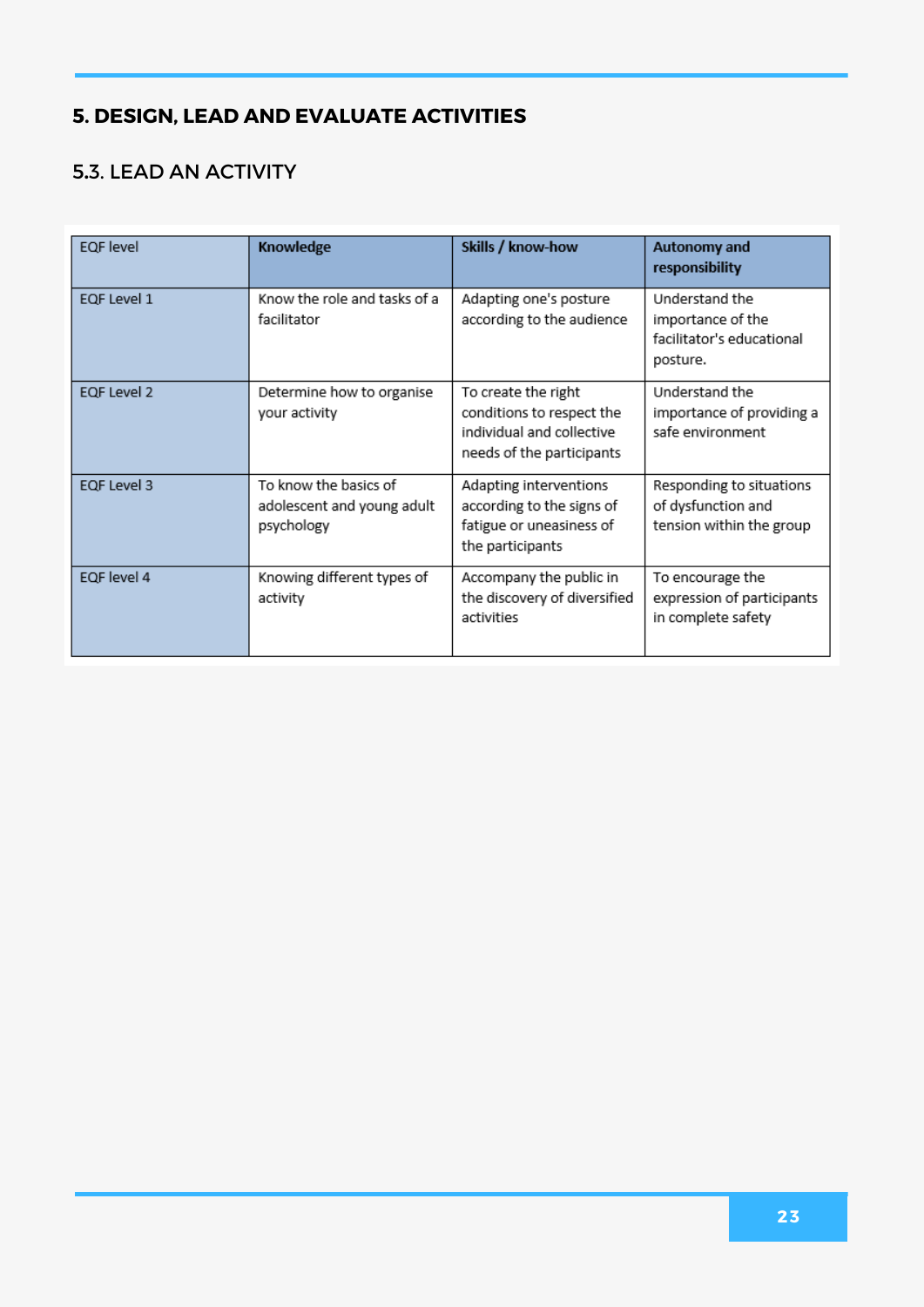#### **.**3. LEAD AN ACTIVITY

| <b>EQF</b> level | Knowledge                                                         | Skills / know-how                                                                                          | Autonomy and<br>responsibility                                               |
|------------------|-------------------------------------------------------------------|------------------------------------------------------------------------------------------------------------|------------------------------------------------------------------------------|
| EQF Level 1      | Know the role and tasks of a<br>facilitator                       | Adapting one's posture<br>according to the audience                                                        | Understand the<br>importance of the<br>facilitator's educational<br>posture. |
| EQF Level 2      | Determine how to organise<br>your activity                        | To create the right<br>conditions to respect the<br>individual and collective<br>needs of the participants | Understand the<br>importance of providing a<br>safe environment              |
| EQF Level 3      | To know the basics of<br>adolescent and young adult<br>psychology | Adapting interventions<br>according to the signs of<br>fatigue or uneasiness of<br>the participants        | Responding to situations<br>of dysfunction and<br>tension within the group   |
| EQF level 4      | Knowing different types of<br>activity                            | Accompany the public in<br>the discovery of diversified<br>activities                                      | To encourage the<br>expression of participants<br>in complete safety         |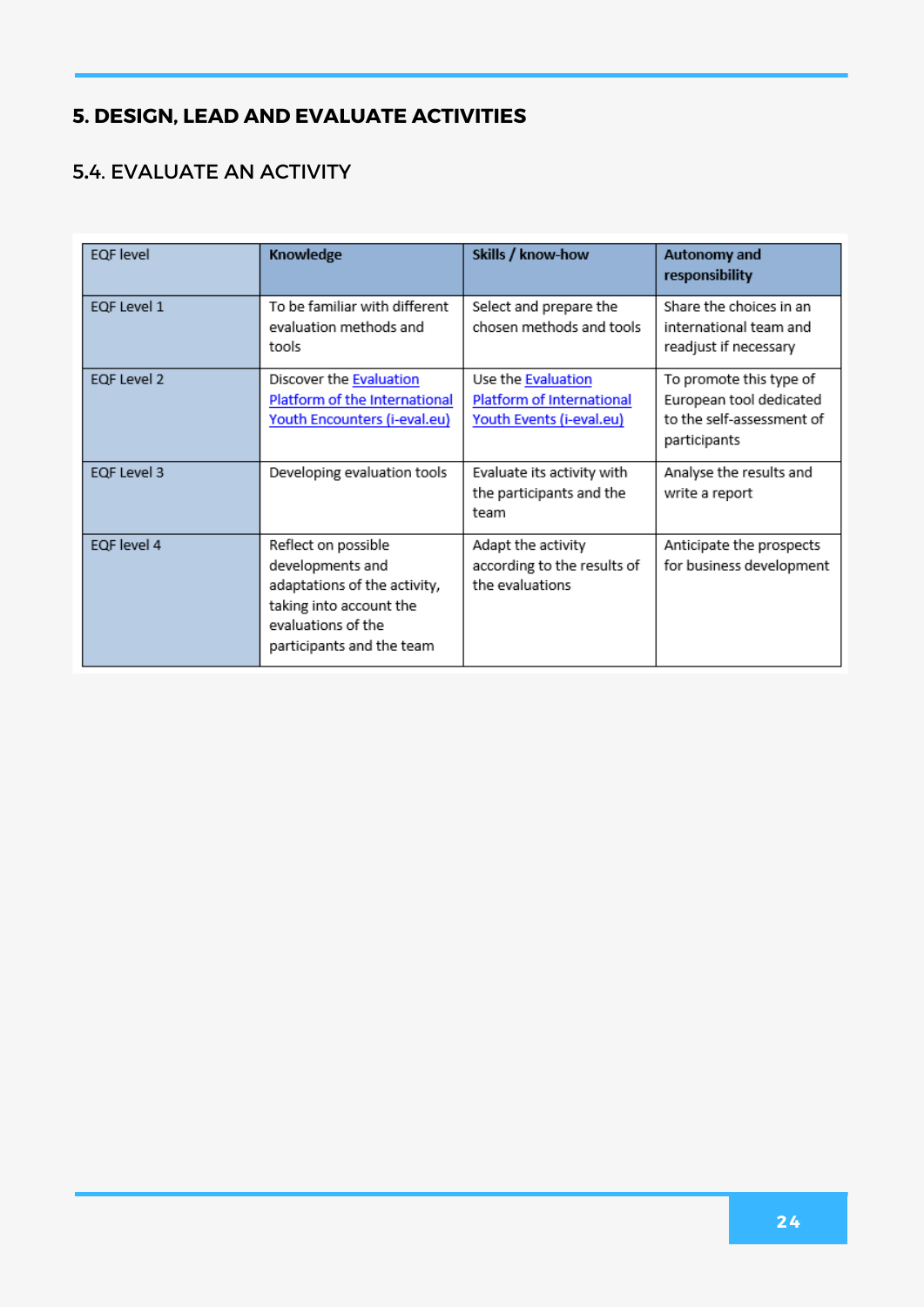#### **.**4. EVALUATE AN ACTIVITY

| <b>EQF</b> level | Knowledge                                                                                                                                             | Skills / know-how                                                           | <b>Autonomy and</b><br>responsibility                                                           |
|------------------|-------------------------------------------------------------------------------------------------------------------------------------------------------|-----------------------------------------------------------------------------|-------------------------------------------------------------------------------------------------|
| EQF Level 1      | To be familiar with different<br>evaluation methods and<br>tools                                                                                      | Select and prepare the<br>chosen methods and tools                          | Share the choices in an<br>international team and<br>readjust if necessary                      |
| EQF Level 2      | Discover the Evaluation<br>Platform of the International<br>Youth Encounters (i-eval.eu)                                                              | Use the Evaluation<br>Platform of International<br>Youth Events (i-eval.eu) | To promote this type of<br>European tool dedicated<br>to the self-assessment of<br>participants |
| EQF Level 3      | Developing evaluation tools                                                                                                                           | Evaluate its activity with<br>the participants and the<br>team              | Analyse the results and<br>write a report                                                       |
| EQF level 4      | Reflect on possible<br>developments and<br>adaptations of the activity,<br>taking into account the<br>evaluations of the<br>participants and the team | Adapt the activity<br>according to the results of<br>the evaluations        | Anticipate the prospects<br>for business development                                            |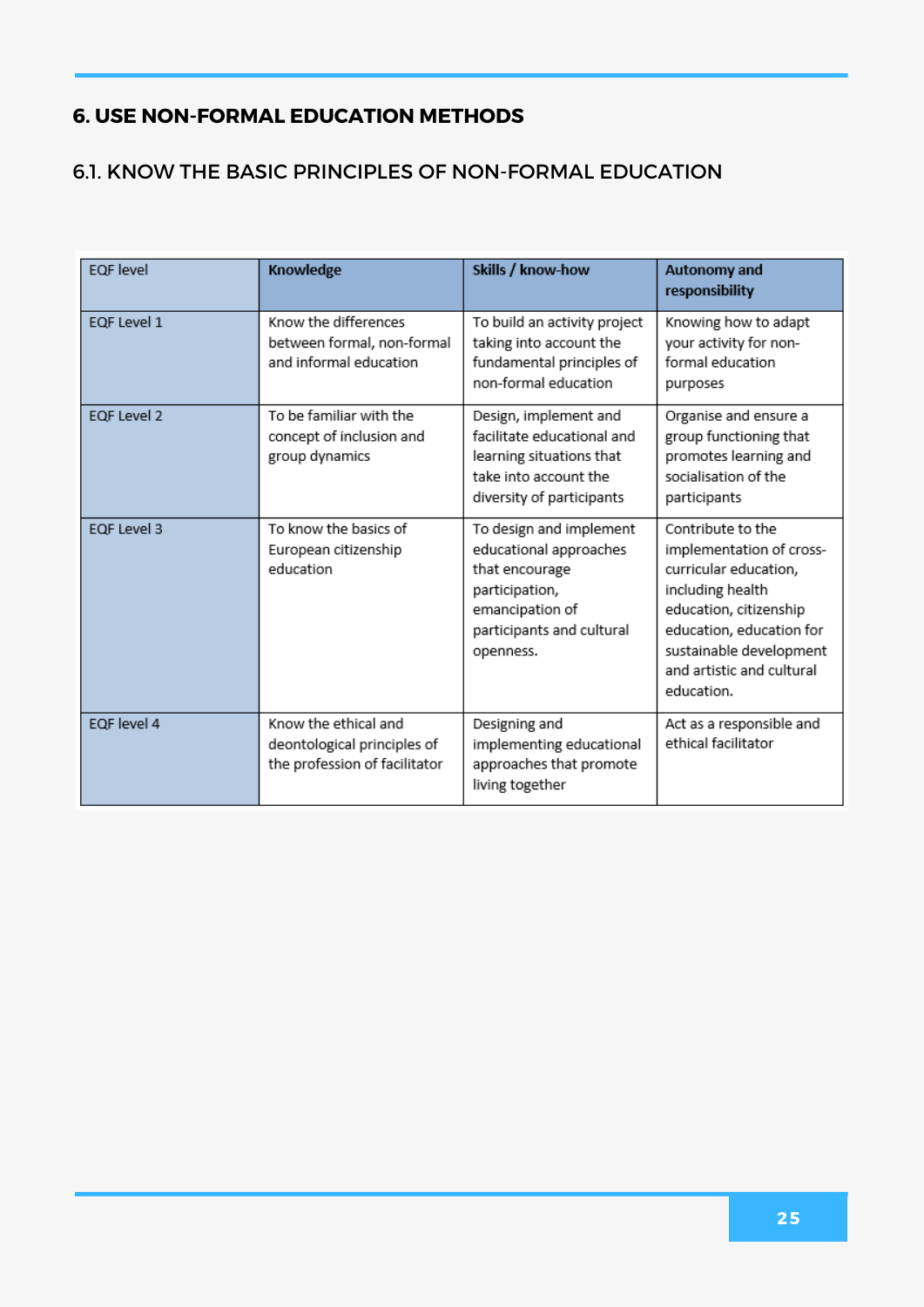#### 6.1. KNOW THE BASIC PRINCIPLES OF NON-FORMAL EDUCATION

| <b>EQF</b> level | Knowledge                                                                            | Skills / know-how                                                                                                                                  | <b>Autonomy and</b><br>responsibility                                                                                                                                                                                  |
|------------------|--------------------------------------------------------------------------------------|----------------------------------------------------------------------------------------------------------------------------------------------------|------------------------------------------------------------------------------------------------------------------------------------------------------------------------------------------------------------------------|
| EQF Level 1      | Know the differences<br>between formal, non-formal<br>and informal education         | To build an activity project<br>taking into account the<br>fundamental principles of<br>non-formal education                                       | Knowing how to adapt<br>your activity for non-<br>formal education<br>purposes                                                                                                                                         |
| EQF Level 2      | To be familiar with the<br>concept of inclusion and<br>group dynamics                | Design, implement and<br>facilitate educational and<br>learning situations that<br>take into account the<br>diversity of participants              | Organise and ensure a<br>group functioning that<br>promotes learning and<br>socialisation of the<br>participants                                                                                                       |
| EQF Level 3      | To know the basics of<br>European citizenship<br>education                           | To design and implement<br>educational approaches<br>that encourage<br>participation,<br>emancipation of<br>participants and cultural<br>openness. | Contribute to the<br>implementation of cross-<br>curricular education,<br>including health<br>education, citizenship<br>education, education for<br>sustainable development<br>and artistic and cultural<br>education. |
| EQF level 4      | Know the ethical and<br>deontological principles of<br>the profession of facilitator | Designing and<br>implementing educational<br>approaches that promote<br>living together                                                            | Act as a responsible and<br>ethical facilitator                                                                                                                                                                        |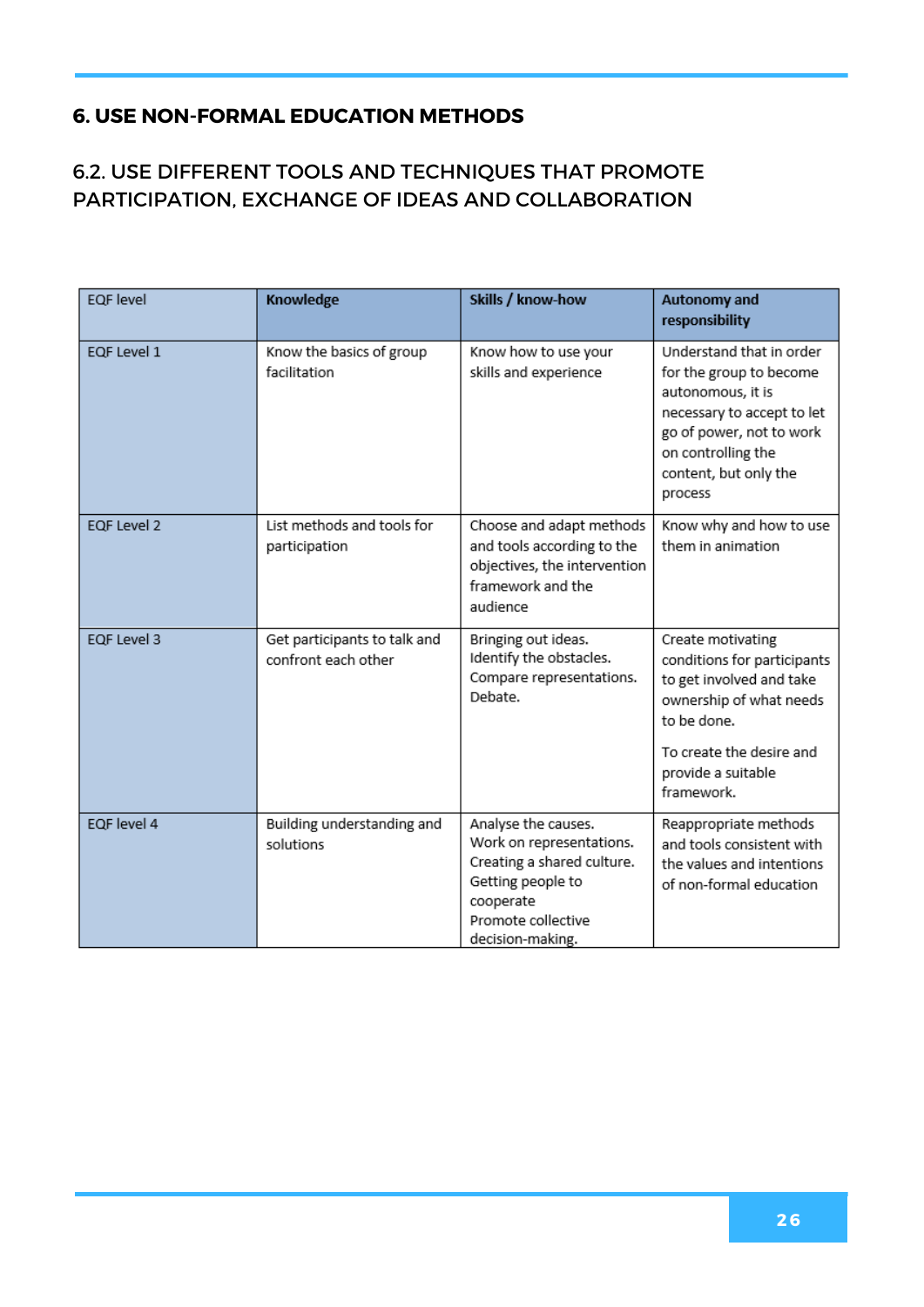#### 6.2. USE DIFFERENT TOOLS AND TECHNIQUES THAT PROMOTE PARTICIPATION, EXCHANGE OF IDEAS AND COLLABORATION

| <b>EQF</b> level | Knowledge                                           | Skills / know-how                                                                                                                                         | <b>Autonomy and</b><br>responsibility                                                                                                                                                        |
|------------------|-----------------------------------------------------|-----------------------------------------------------------------------------------------------------------------------------------------------------------|----------------------------------------------------------------------------------------------------------------------------------------------------------------------------------------------|
| EQF Level 1      | Know the basics of group<br>facilitation            | Know how to use your<br>skills and experience                                                                                                             | Understand that in order<br>for the group to become<br>autonomous, it is<br>necessary to accept to let<br>go of power, not to work<br>on controlling the<br>content, but only the<br>process |
| EQF Level 2      | List methods and tools for<br>participation         | Choose and adapt methods<br>and tools according to the<br>objectives, the intervention<br>framework and the<br>audience                                   | Know why and how to use<br>them in animation                                                                                                                                                 |
| EQF Level 3      | Get participants to talk and<br>confront each other | Bringing out ideas.<br>Identify the obstacles.<br>Compare representations.<br>Debate.                                                                     | Create motivating<br>conditions for participants<br>to get involved and take<br>ownership of what needs<br>to be done.<br>To create the desire and<br>provide a suitable<br>framework.       |
| EQF level 4      | Building understanding and<br>solutions             | Analyse the causes.<br>Work on representations.<br>Creating a shared culture.<br>Getting people to<br>cooperate<br>Promote collective<br>decision-making. | Reappropriate methods<br>and tools consistent with<br>the values and intentions<br>of non-formal education                                                                                   |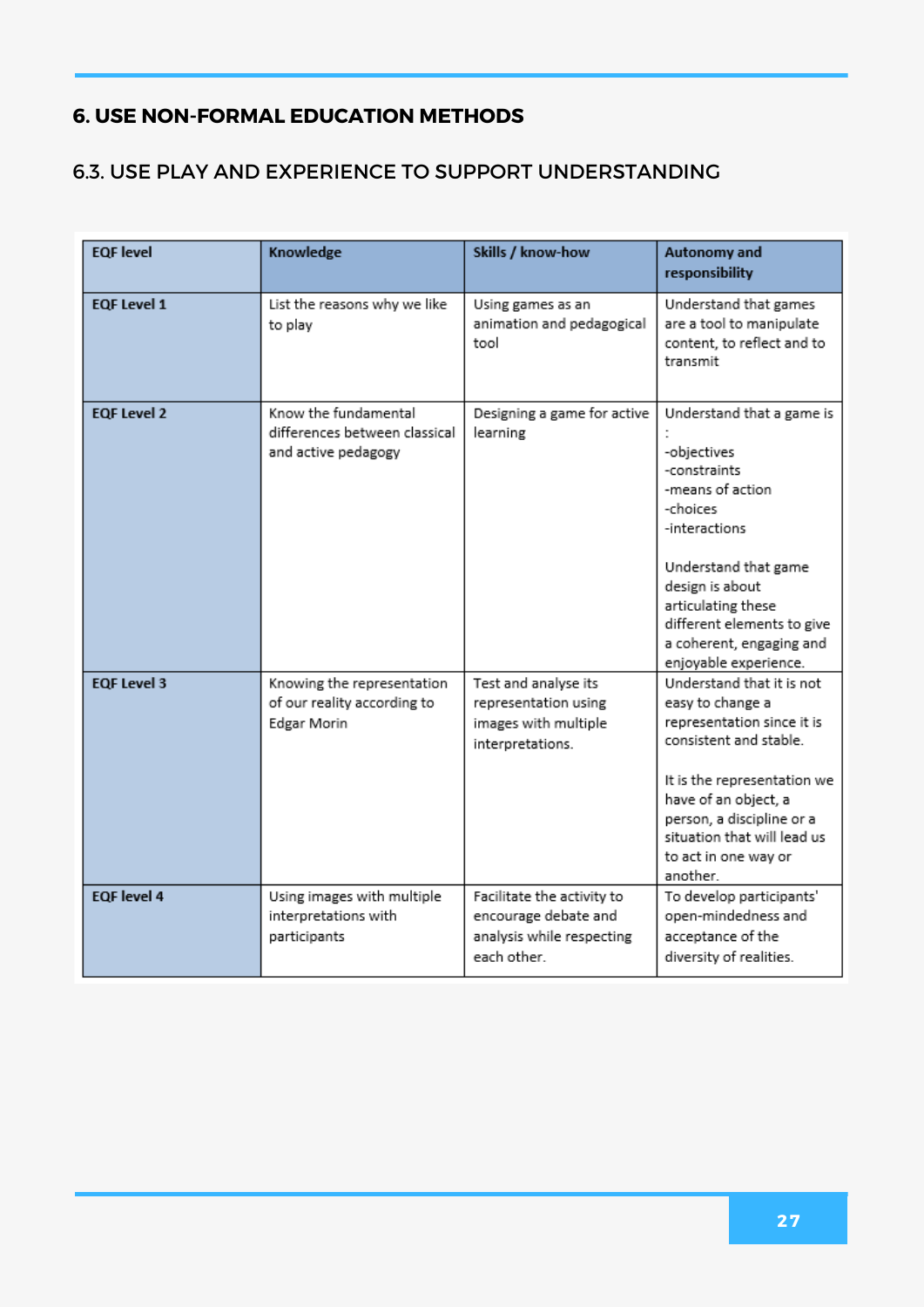#### 6.3. USE PLAY AND EXPERIENCE TO SUPPORT UNDERSTANDING

| <b>EQF</b> level   | Knowledge                                                                    | Skills / know-how                                                                              | Autonomy and<br>responsibility                                                                                                                                                                                                                                |
|--------------------|------------------------------------------------------------------------------|------------------------------------------------------------------------------------------------|---------------------------------------------------------------------------------------------------------------------------------------------------------------------------------------------------------------------------------------------------------------|
| <b>EQF Level 1</b> | List the reasons why we like<br>to play                                      | Using games as an<br>animation and pedagogical<br>tool                                         | Understand that games<br>are a tool to manipulate<br>content, to reflect and to<br>transmit                                                                                                                                                                   |
| <b>EQF Level 2</b> | Know the fundamental<br>differences between classical<br>and active pedagogy | Designing a game for active<br>learning                                                        | Understand that a game is<br>-objectives<br>-constraints<br>-means of action<br>-choices<br>-interactions<br>Understand that game<br>design is about<br>articulating these<br>different elements to give<br>a coherent, engaging and<br>enjoyable experience. |
| <b>EQF Level 3</b> | Knowing the representation<br>of our reality according to<br>Edgar Morin     | Test and analyse its<br>representation using<br>images with multiple<br>interpretations.       | Understand that it is not<br>easy to change a<br>representation since it is<br>consistent and stable.<br>It is the representation we<br>have of an object, a<br>person, a discipline or a<br>situation that will lead us<br>to act in one way or<br>another.  |
| <b>EQF</b> level 4 | Using images with multiple<br>interpretations with<br>participants           | Facilitate the activity to<br>encourage debate and<br>analysis while respecting<br>each other. | To develop participants'<br>open-mindedness and<br>acceptance of the<br>diversity of realities.                                                                                                                                                               |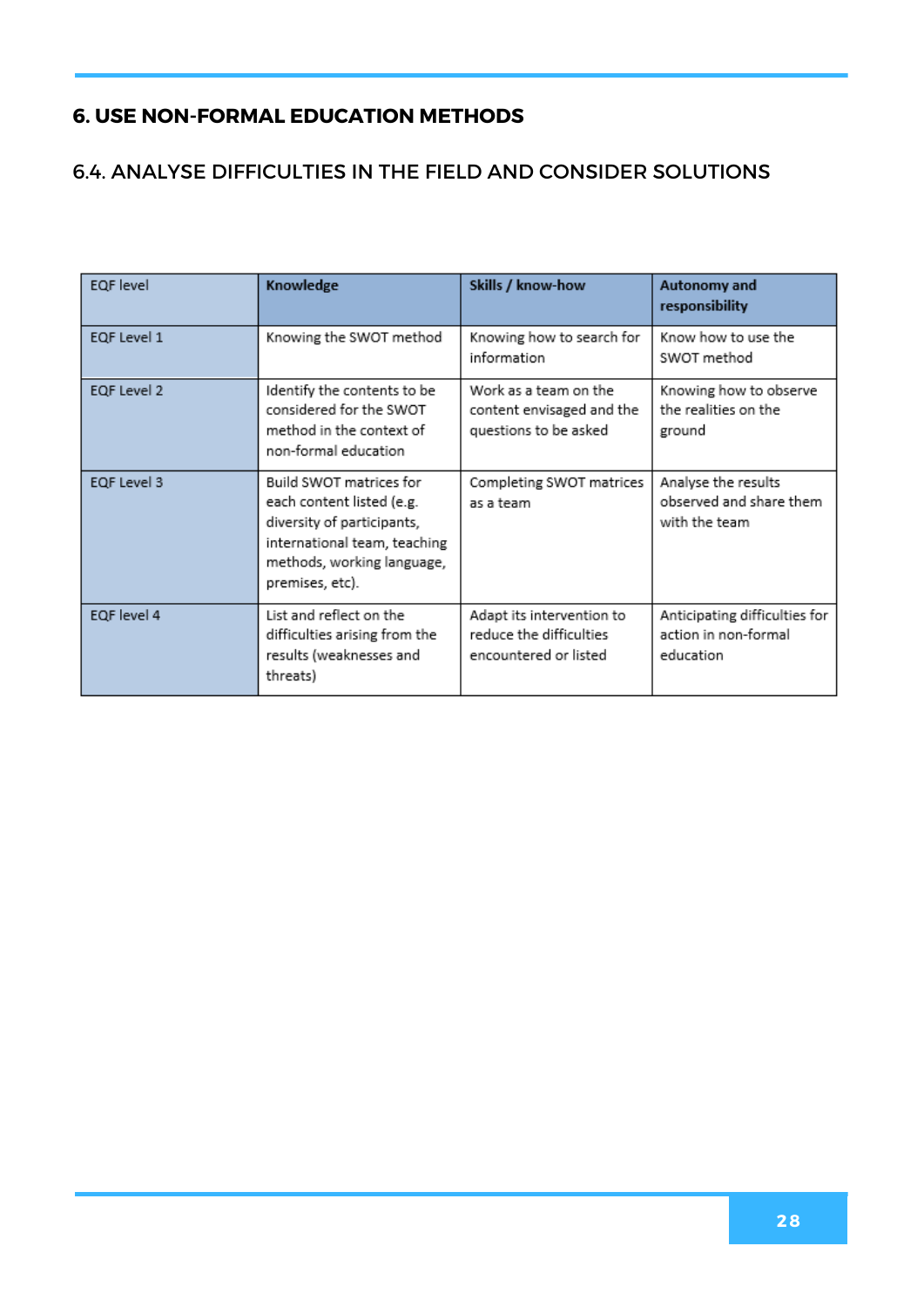#### 6.4. ANALYSE DIFFICULTIES IN THE FIELD AND CONSIDER SOLUTIONS

| <b>EQF</b> level | Knowledge                                                                                                                                                           | Skills / know-how                                                             | Autonomy and<br>responsibility                                     |
|------------------|---------------------------------------------------------------------------------------------------------------------------------------------------------------------|-------------------------------------------------------------------------------|--------------------------------------------------------------------|
| EQF Level 1      | Knowing the SWOT method                                                                                                                                             | Knowing how to search for<br>information                                      | Know how to use the<br>SWOT method                                 |
| EQF Level 2      | Identify the contents to be<br>considered for the SWOT<br>method in the context of<br>non-formal education                                                          | Work as a team on the<br>content envisaged and the<br>questions to be asked   | Knowing how to observe<br>the realities on the<br>ground           |
| EQF Level 3      | Build SWOT matrices for<br>each content listed (e.g.<br>diversity of participants,<br>international team, teaching<br>methods, working language,<br>premises, etc). | Completing SWOT matrices<br>as a team.                                        | Analyse the results<br>observed and share them<br>with the team    |
| EQF level 4      | List and reflect on the<br>difficulties arising from the<br>results (weaknesses and<br>threats)                                                                     | Adapt its intervention to<br>reduce the difficulties<br>encountered or listed | Anticipating difficulties for<br>action in non-formal<br>education |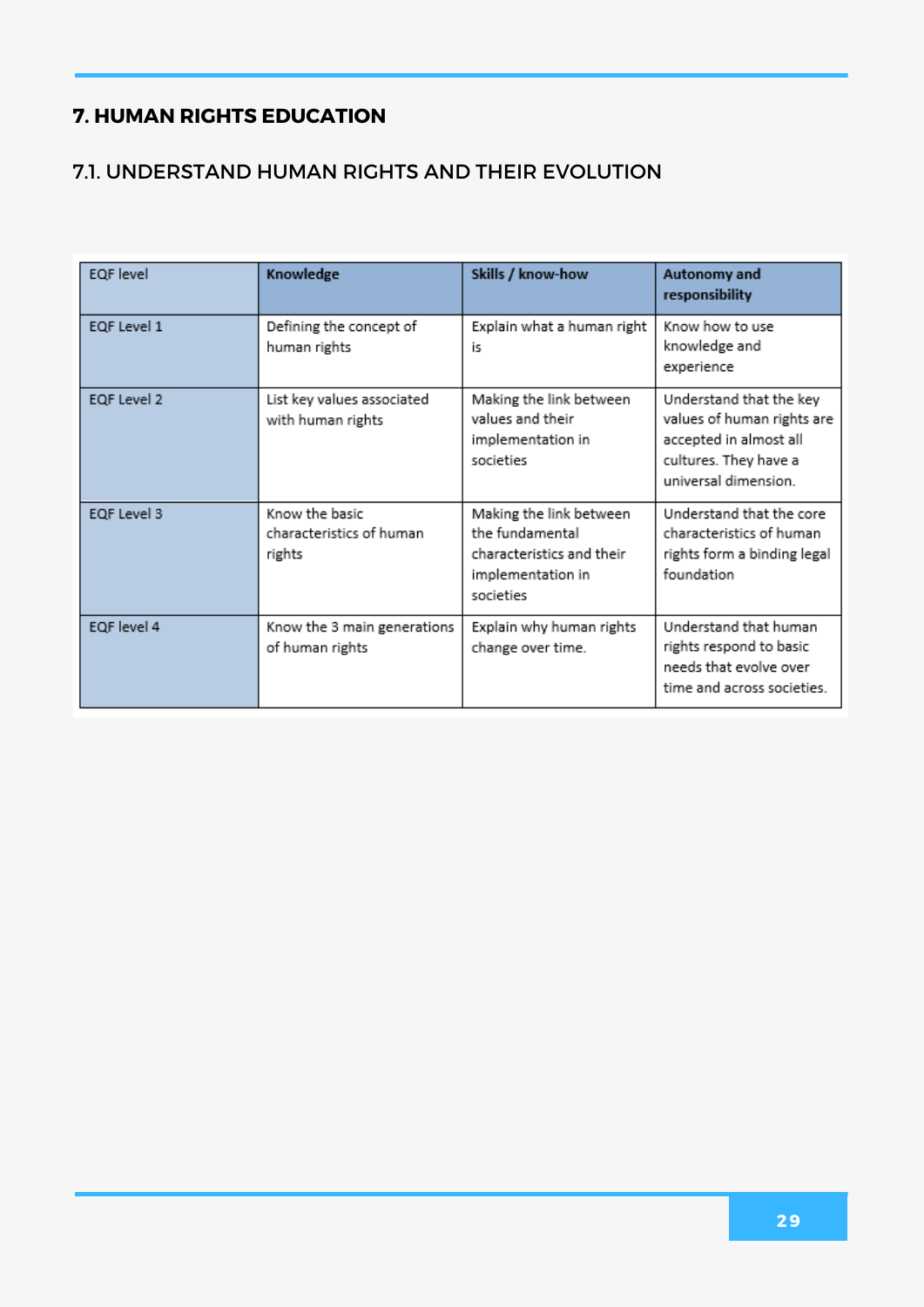#### 7.1. UNDERSTAND HUMAN RIGHTS AND THEIR EVOLUTION

| EQF level   | Knowledge                                            | Skills / know-how                                                                                         | Autonomy and<br>responsibility                                                                                                   |
|-------------|------------------------------------------------------|-----------------------------------------------------------------------------------------------------------|----------------------------------------------------------------------------------------------------------------------------------|
| EQF Level 1 | Defining the concept of<br>human rights              | Explain what a human right<br>is                                                                          | Know how to use<br>knowledge and<br>experience                                                                                   |
| EQF Level 2 | List key values associated<br>with human rights      | Making the link between<br>values and their<br>implementation in<br>societies                             | Understand that the key<br>values of human rights are<br>accepted in almost all<br>cultures. They have a<br>universal dimension. |
| EQF Level 3 | Know the basic<br>characteristics of human<br>rights | Making the link between<br>the fundamental<br>characteristics and their<br>implementation in<br>societies | Understand that the core<br>characteristics of human<br>rights form a binding legal<br>foundation                                |
| EQF level 4 | Know the 3 main generations<br>of human rights       | Explain why human rights<br>change over time.                                                             | Understand that human<br>rights respond to basic<br>needs that evolve over<br>time and across societies.                         |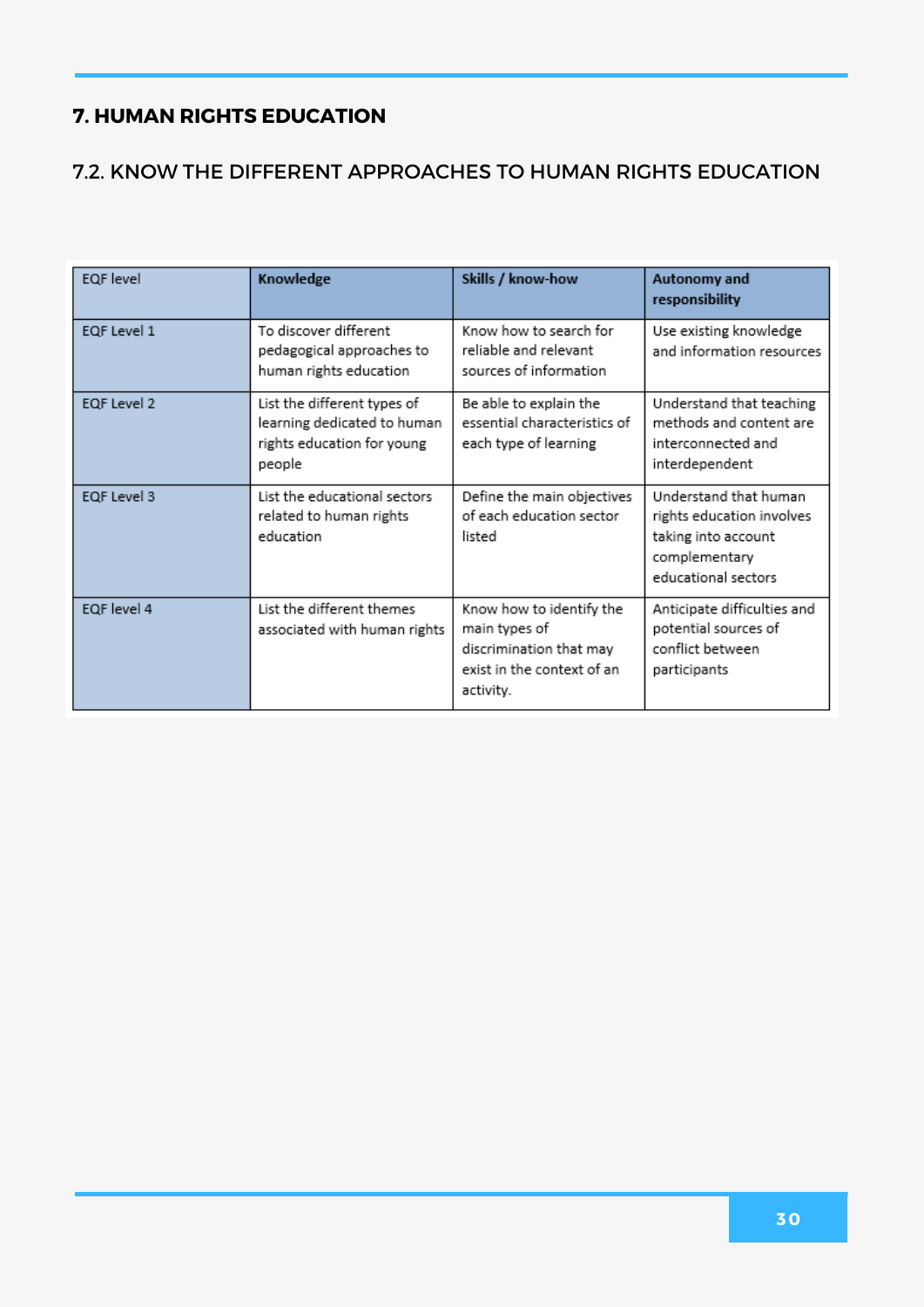#### 7.2. KNOW THE DIFFERENT APPROACHES TO HUMAN RIGHTS EDUCATION

| EQF level   | Knowledge                                                                                          | Skills / know-how                                                                                               | Autonomy and<br>responsibility                                                                                    |
|-------------|----------------------------------------------------------------------------------------------------|-----------------------------------------------------------------------------------------------------------------|-------------------------------------------------------------------------------------------------------------------|
| EQF Level 1 | To discover different<br>pedagogical approaches to<br>human rights education                       | Know how to search for<br>reliable and relevant<br>sources of information                                       | Use existing knowledge<br>and information resources                                                               |
| EQF Level 2 | List the different types of<br>learning dedicated to human<br>rights education for young<br>people | Be able to explain the<br>essential characteristics of<br>each type of learning                                 | Understand that teaching<br>methods and content are<br>interconnected and<br>interdependent                       |
| EQF Level 3 | List the educational sectors<br>related to human rights<br>education                               | Define the main objectives<br>of each education sector<br>listed                                                | Understand that human<br>rights education involves<br>taking into account<br>complementary<br>educational sectors |
| EQF level 4 | List the different themes<br>associated with human rights                                          | Know how to identify the<br>main types of<br>discrimination that may<br>exist in the context of an<br>activity. | Anticipate difficulties and<br>potential sources of<br>conflict between<br>participants                           |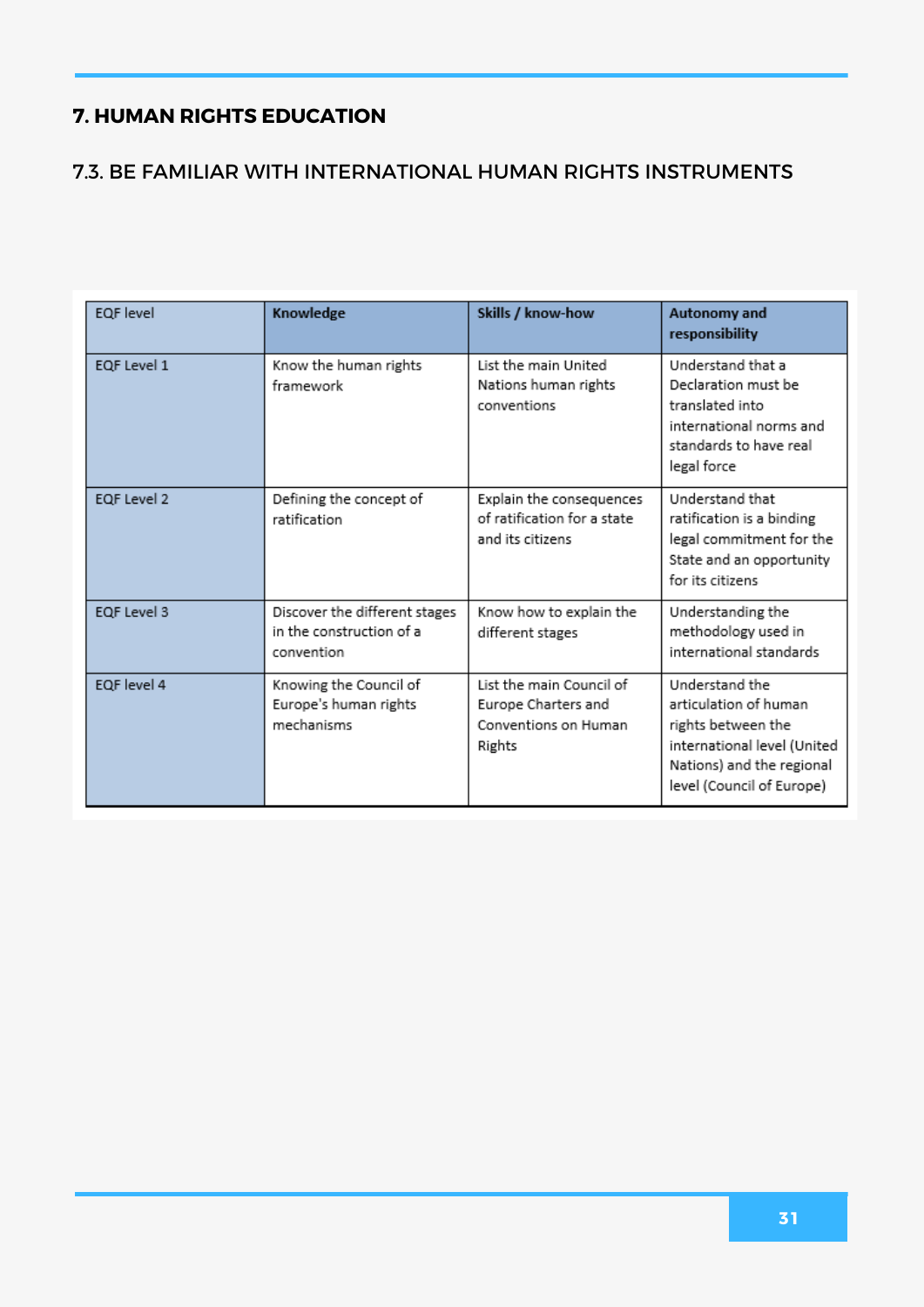#### 7.3. BE FAMILIAR WITH INTERNATIONAL HUMAN RIGHTS INSTRUMENTS

| EQF level   | Knowledge                                                               | Skills / know-how                                                                 | Autonomy and<br>responsibility                                                                                                                         |
|-------------|-------------------------------------------------------------------------|-----------------------------------------------------------------------------------|--------------------------------------------------------------------------------------------------------------------------------------------------------|
| EQF Level 1 | Know the human rights<br>framework                                      | List the main United<br>Nations human rights<br>conventions                       | Understand that a<br>Declaration must be<br>translated into<br>international norms and<br>standards to have real<br>legal force                        |
| EQF Level 2 | Defining the concept of<br>ratification                                 | Explain the consequences<br>of ratification for a state<br>and its citizens       | Understand that<br>ratification is a binding<br>legal commitment for the<br>State and an opportunity<br>for its citizens                               |
| EQF Level 3 | Discover the different stages<br>in the construction of a<br>convention | Know how to explain the<br>different stages                                       | Understanding the<br>methodology used in<br>international standards                                                                                    |
| EQF level 4 | Knowing the Council of<br>Europe's human rights<br>mechanisms           | List the main Council of<br>Europe Charters and<br>Conventions on Human<br>Rights | Understand the<br>articulation of human<br>rights between the<br>international level (United<br>Nations) and the regional<br>level (Council of Europe) |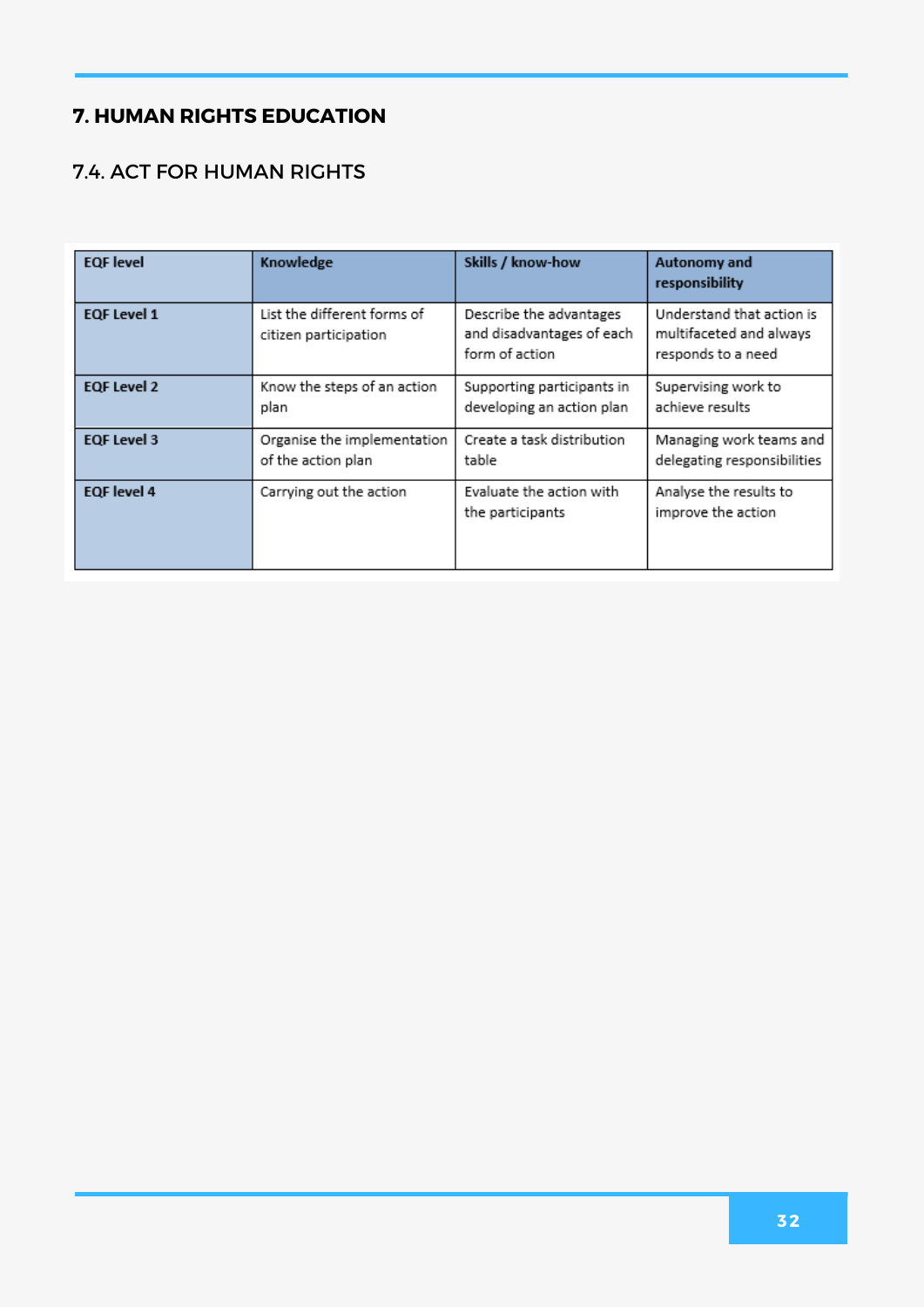#### 7.4. ACT FOR HUMAN RIGHTS

| <b>EQF</b> level   | Knowledge                                            | Skills / know-how                                                      | Autonomy and<br>responsibility                                             |
|--------------------|------------------------------------------------------|------------------------------------------------------------------------|----------------------------------------------------------------------------|
| <b>EQF Level 1</b> | List the different forms of<br>citizen participation | Describe the advantages<br>and disadvantages of each<br>form of action | Understand that action is<br>multifaceted and always<br>responds to a need |
| <b>EQF Level 2</b> | Know the steps of an action<br>plan                  | Supporting participants in<br>developing an action plan                | Supervising work to<br>achieve results                                     |
| <b>EQF Level 3</b> | Organise the implementation<br>of the action plan    | Create a task distribution<br>table                                    | Managing work teams and<br>delegating responsibilities                     |
| <b>EQF</b> level 4 | Carrying out the action                              | Evaluate the action with<br>the participants                           | Analyse the results to<br>improve the action                               |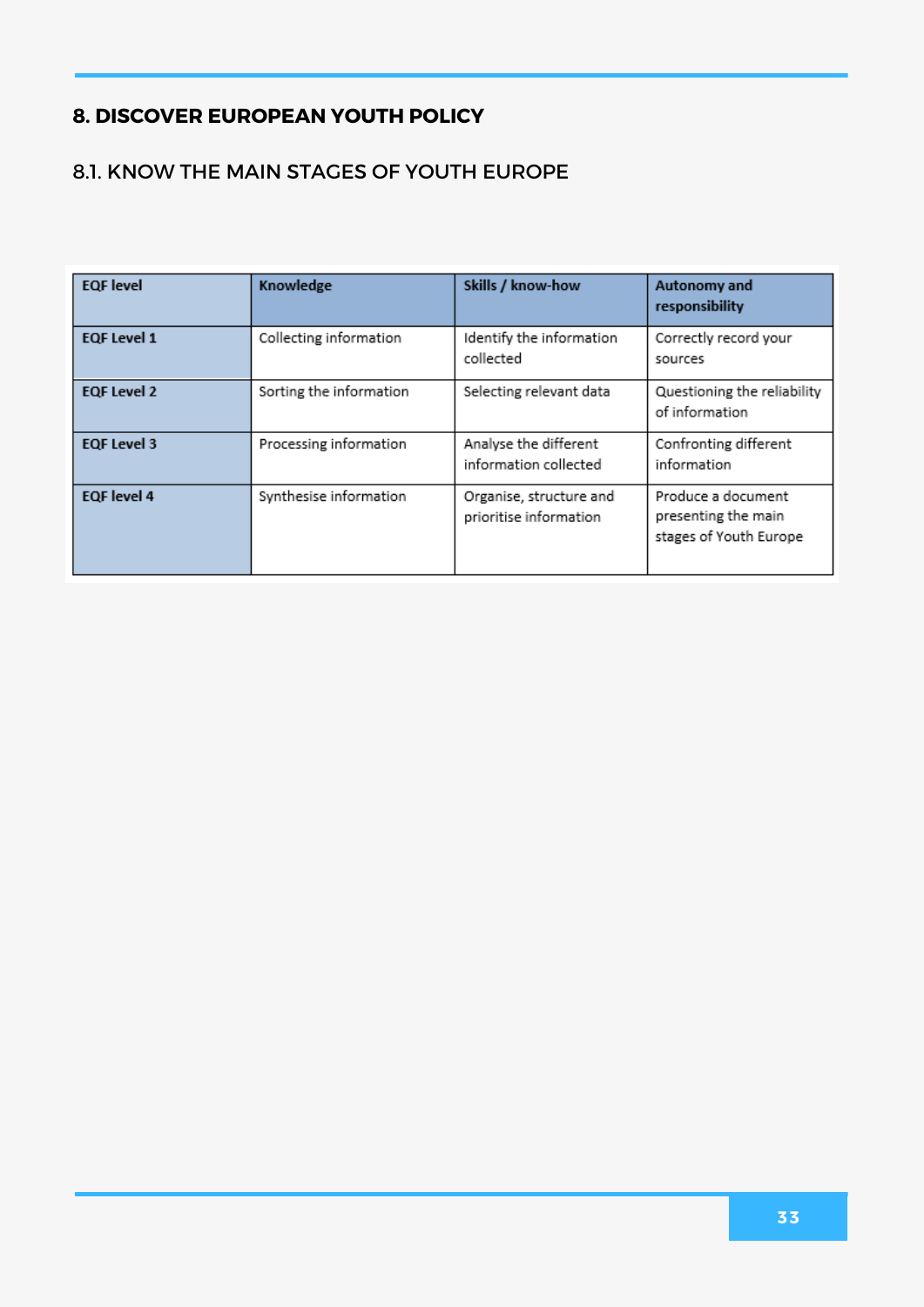#### 8.1. KNOW THE MAIN STAGES OF YOUTH EUROPE

| <b>EQF</b> level   | Knowledge               | Skills / know-how                                 | Autonomy and<br>responsibility                                      |
|--------------------|-------------------------|---------------------------------------------------|---------------------------------------------------------------------|
| <b>EQF Level 1</b> | Collecting information  | Identify the information<br>collected             | Correctly record your<br>sources                                    |
| <b>EQF Level 2</b> | Sorting the information | Selecting relevant data                           | Questioning the reliability<br>of information                       |
| <b>EQF Level 3</b> | Processing information  | Analyse the different<br>information collected    | Confronting different<br>information                                |
| <b>EQF</b> level 4 | Synthesise information  | Organise, structure and<br>prioritise information | Produce a document<br>presenting the main<br>stages of Youth Europe |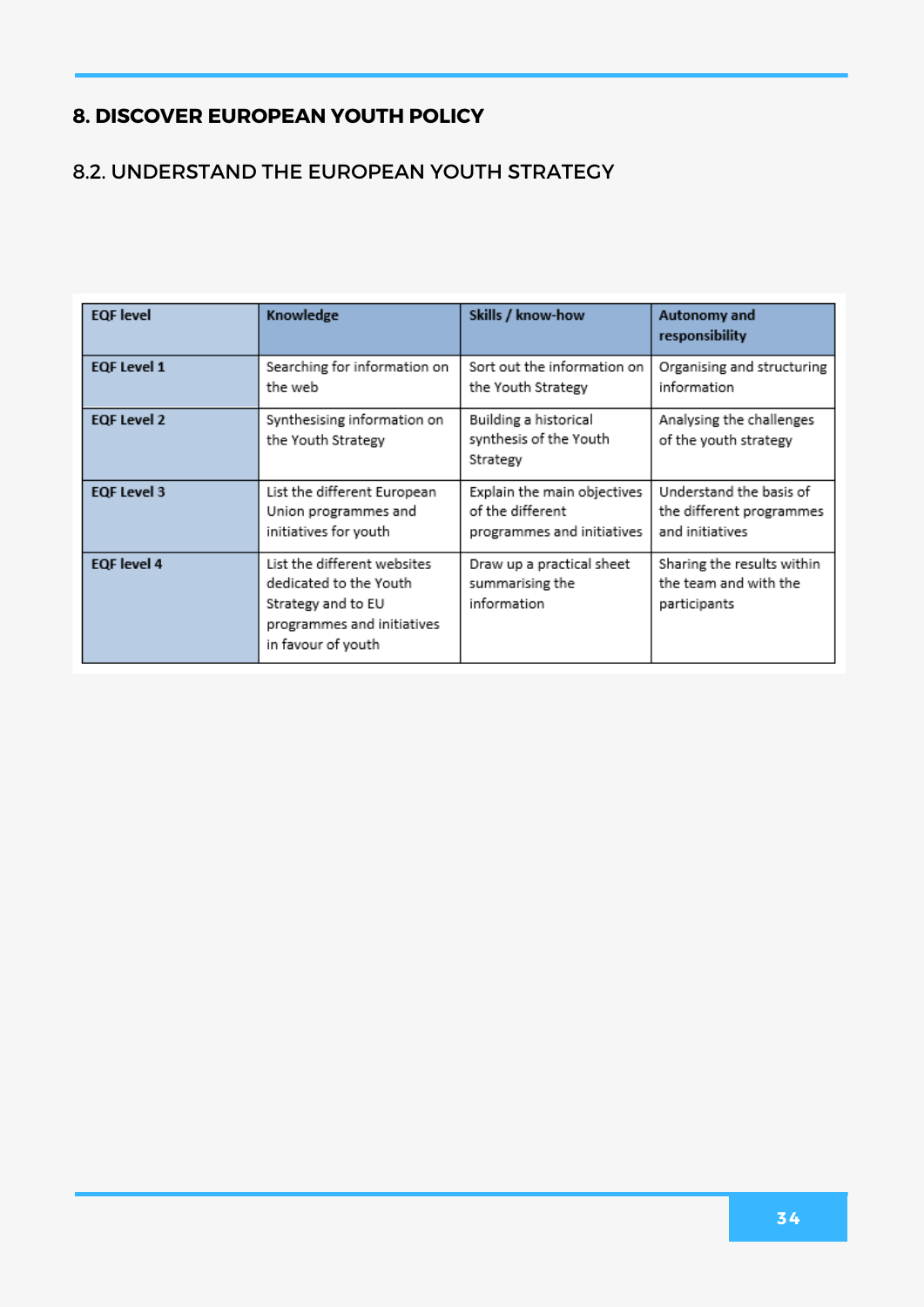#### 8.2. UNDERSTAND THE EUROPEAN YOUTH STRATEGY

| <b>EQF</b> level   | Knowledge                                                                                                                       | Skills / know-how                                                             | <b>Autonomy and</b><br>responsibility                                  |
|--------------------|---------------------------------------------------------------------------------------------------------------------------------|-------------------------------------------------------------------------------|------------------------------------------------------------------------|
| <b>EQF Level 1</b> | Searching for information on<br>the web                                                                                         | Sort out the information on<br>the Youth Strategy                             | Organising and structuring<br>information                              |
| <b>EQF Level 2</b> | Synthesising information on<br>the Youth Strategy                                                                               | Building a historical<br>synthesis of the Youth<br>Strategy                   | Analysing the challenges<br>of the youth strategy                      |
| <b>EQF Level 3</b> | List the different European<br>Union programmes and<br>initiatives for youth                                                    | Explain the main objectives<br>of the different<br>programmes and initiatives | Understand the basis of<br>the different programmes<br>and initiatives |
| <b>EQF</b> level 4 | List the different websites<br>dedicated to the Youth<br>Strategy and to EU<br>programmes and initiatives<br>in favour of youth | Draw up a practical sheet<br>summarising the<br>information                   | Sharing the results within<br>the team and with the<br>participants    |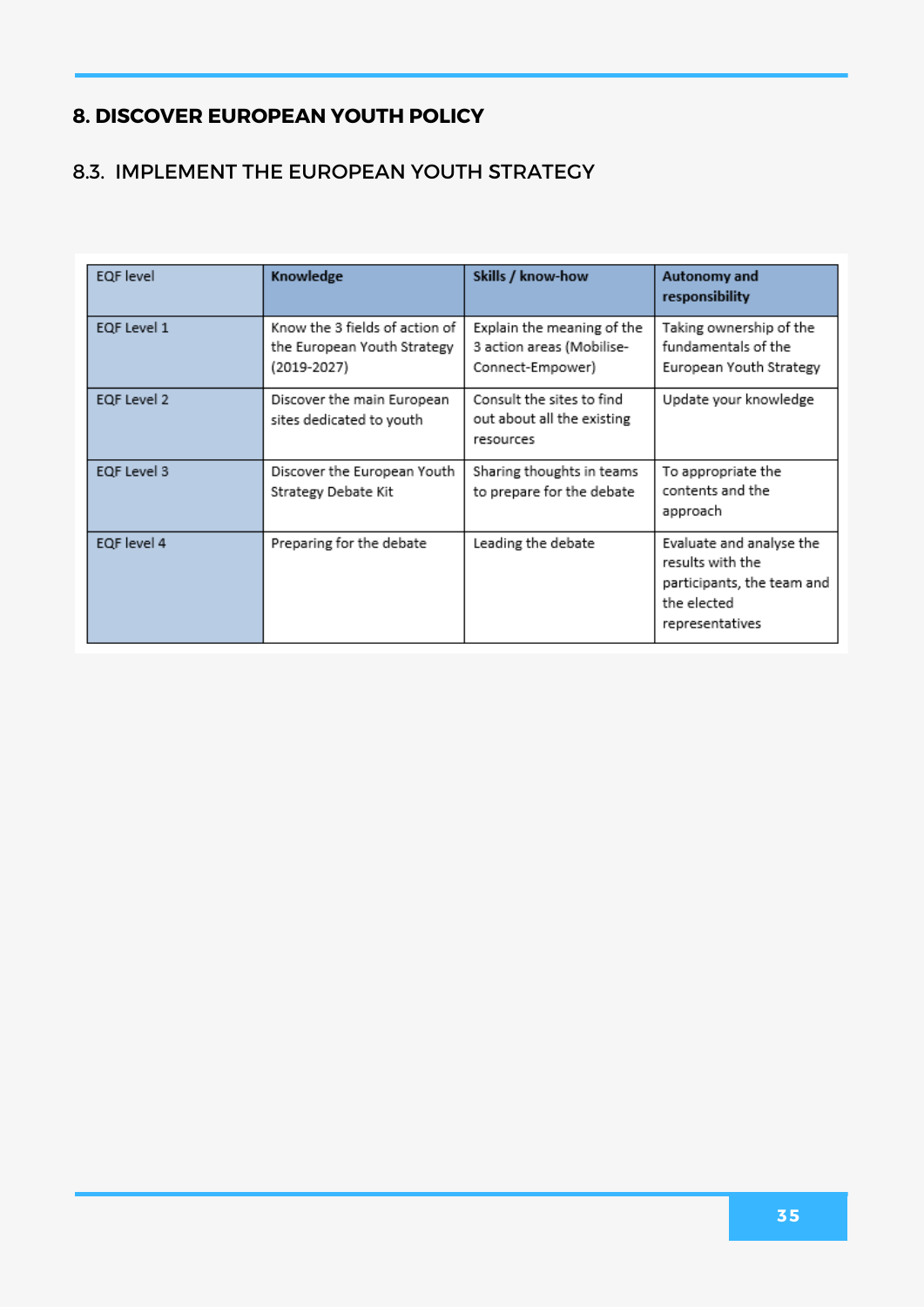#### 8.3. IMPLEMENT THE EUROPEAN YOUTH STRATEGY

| <b>EQF</b> level | Knowledge                                                                    | Skills / know-how                                                           | Autonomy and<br>responsibility                                                                               |
|------------------|------------------------------------------------------------------------------|-----------------------------------------------------------------------------|--------------------------------------------------------------------------------------------------------------|
| EQF Level 1      | Know the 3 fields of action of<br>the European Youth Strategy<br>(2019-2027) | Explain the meaning of the<br>3 action areas (Mobilise-<br>Connect-Empower) | Taking ownership of the<br>fundamentals of the<br>European Youth Strategy                                    |
| EQF Level 2      | Discover the main European<br>sites dedicated to youth                       | Consult the sites to find<br>out about all the existing<br>resources        | Update your knowledge                                                                                        |
| EQF Level 3      | Discover the European Youth<br>Strategy Debate Kit                           | Sharing thoughts in teams<br>to prepare for the debate                      | To appropriate the<br>contents and the<br>approach                                                           |
| EQF level 4      | Preparing for the debate                                                     | Leading the debate                                                          | Evaluate and analyse the<br>results with the<br>participants, the team and<br>the elected<br>representatives |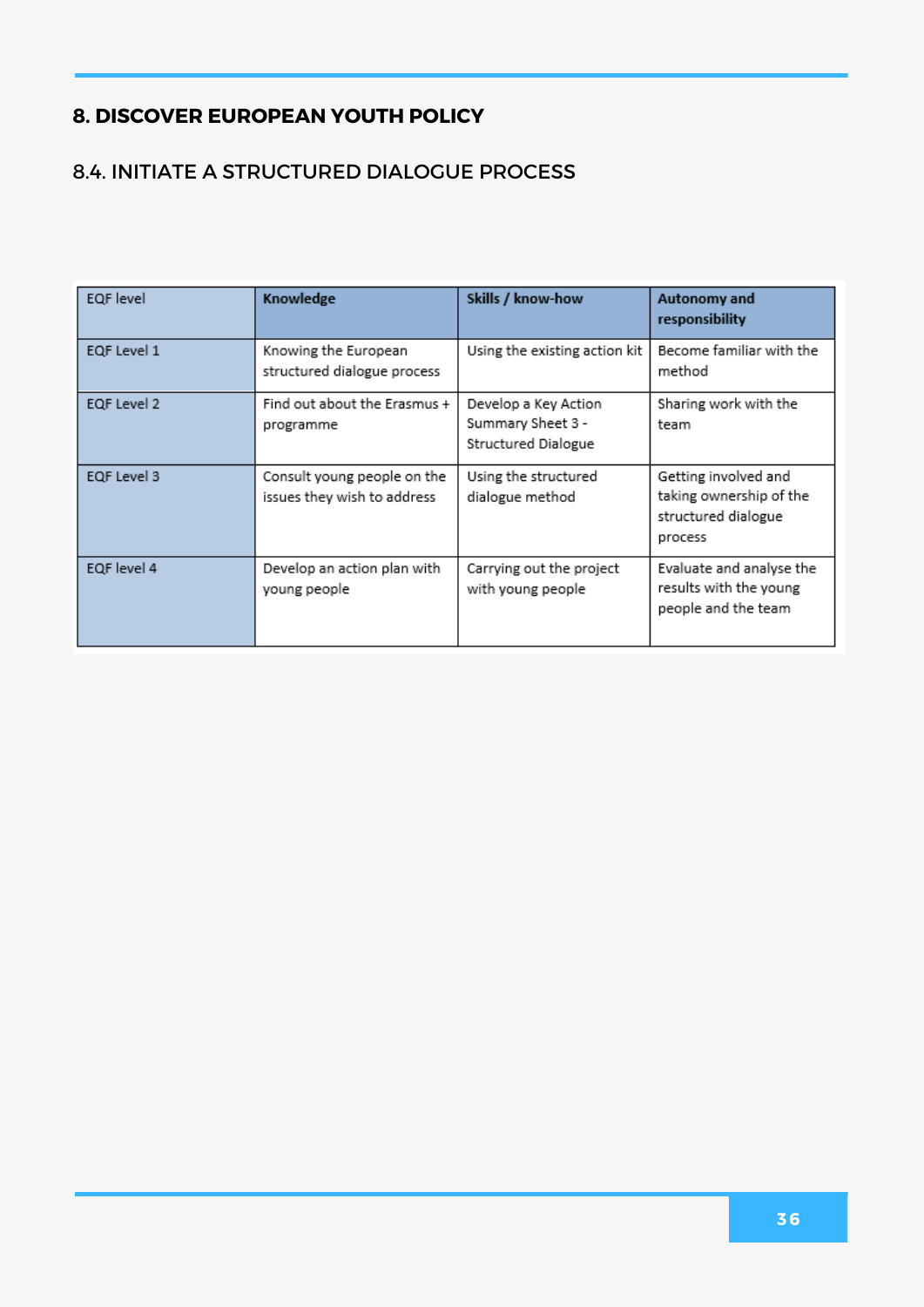#### 8.4. INITIATE A STRUCTURED DIALOGUE PROCESS

| EQF level   | Knowledge                                                  | Skills / know-how                                                | Autonomy and<br>responsibility                                                    |
|-------------|------------------------------------------------------------|------------------------------------------------------------------|-----------------------------------------------------------------------------------|
| EQF Level 1 | Knowing the European<br>structured dialogue process        | Using the existing action kit                                    | Become familiar with the<br>method                                                |
| EQF Level 2 | Find out about the Erasmus +<br>programme                  | Develop a Key Action<br>Summary Sheet 3 -<br>Structured Dialogue | Sharing work with the<br>team                                                     |
| EQF Level 3 | Consult young people on the<br>issues they wish to address | Using the structured<br>dialogue method                          | Getting involved and<br>taking ownership of the<br>structured dialogue<br>process |
| EQF level 4 | Develop an action plan with<br>young people                | Carrying out the project<br>with young people                    | Evaluate and analyse the<br>results with the young<br>people and the team         |